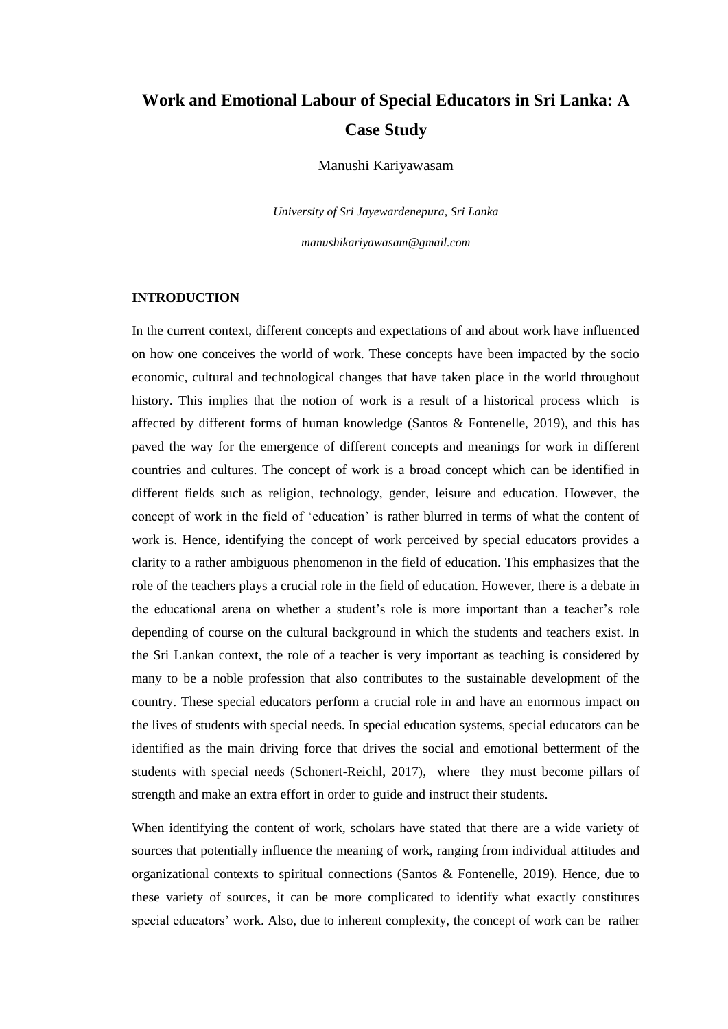# **Work and Emotional Labour of Special Educators in Sri Lanka: A Case Study**

Manushi Kariyawasam

*University of Sri Jayewardenepura, Sri Lanka*

*manushikariyawasam@gmail.com*

#### **INTRODUCTION**

In the current context, different concepts and expectations of and about work have influenced on how one conceives the world of work. These concepts have been impacted by the socio economic, cultural and technological changes that have taken place in the world throughout history. This implies that the notion of work is a result of a historical process which is affected by different forms of human knowledge (Santos & Fontenelle, 2019), and this has paved the way for the emergence of different concepts and meanings for work in different countries and cultures. The concept of work is a broad concept which can be identified in different fields such as religion, technology, gender, leisure and education. However, the concept of work in the field of 'education' is rather blurred in terms of what the content of work is. Hence, identifying the concept of work perceived by special educators provides a clarity to a rather ambiguous phenomenon in the field of education. This emphasizes that the role of the teachers plays a crucial role in the field of education. However, there is a debate in the educational arena on whether a student's role is more important than a teacher's role depending of course on the cultural background in which the students and teachers exist. In the Sri Lankan context, the role of a teacher is very important as teaching is considered by many to be a noble profession that also contributes to the sustainable development of the country. These special educators perform a crucial role in and have an enormous impact on the lives of students with special needs. In special education systems, special educators can be identified as the main driving force that drives the social and emotional betterment of the students with special needs (Schonert-Reichl, 2017), where they must become pillars of strength and make an extra effort in order to guide and instruct their students.

When identifying the content of work, scholars have stated that there are a wide variety of sources that potentially influence the meaning of work, ranging from individual attitudes and organizational contexts to spiritual connections (Santos & Fontenelle, 2019). Hence, due to these variety of sources, it can be more complicated to identify what exactly constitutes special educators' work. Also, due to inherent complexity, the concept of work can be rather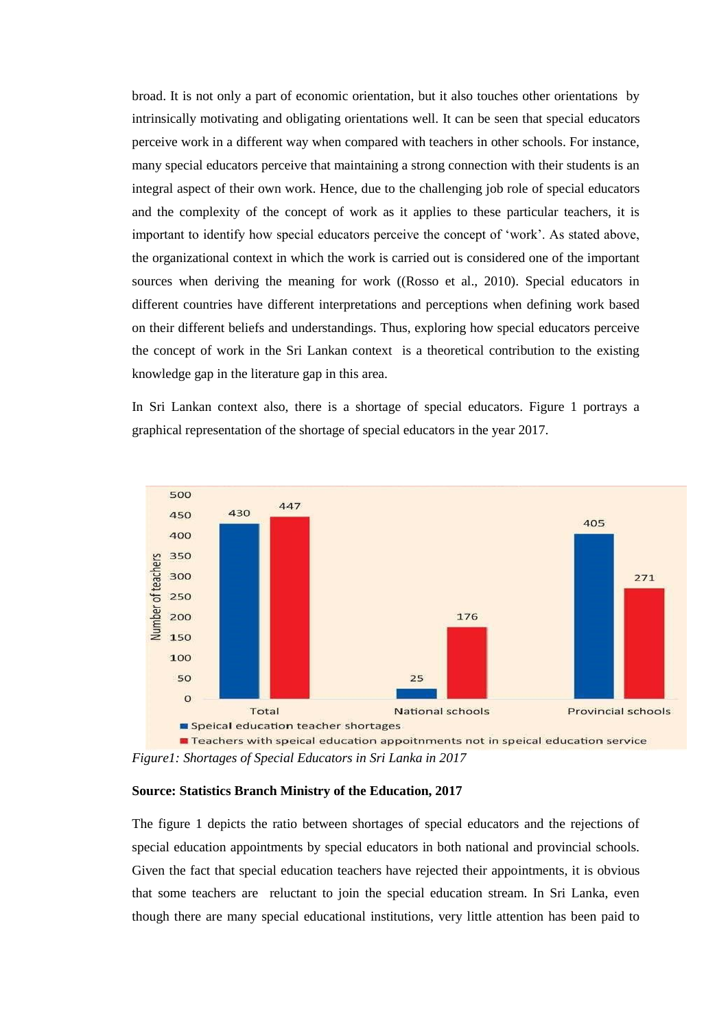broad. It is not only a part of economic orientation, but it also touches other orientations by intrinsically motivating and obligating orientations well. It can be seen that special educators perceive work in a different way when compared with teachers in other schools. For instance, many special educators perceive that maintaining a strong connection with their students is an integral aspect of their own work. Hence, due to the challenging job role of special educators and the complexity of the concept of work as it applies to these particular teachers, it is important to identify how special educators perceive the concept of 'work'. As stated above, the organizational context in which the work is carried out is considered one of the important sources when deriving the meaning for work ((Rosso et al., 2010). Special educators in different countries have different interpretations and perceptions when defining work based on their different beliefs and understandings. Thus, exploring how special educators perceive the concept of work in the Sri Lankan context is a theoretical contribution to the existing knowledge gap in the literature gap in this area.

In Sri Lankan context also, there is a shortage of special educators. Figure 1 portrays a graphical representation of the shortage of special educators in the year 2017.



*Figure1: Shortages of Special Educators in Sri Lanka in 2017*

#### **Source: Statistics Branch Ministry of the Education, 2017**

The figure 1 depicts the ratio between shortages of special educators and the rejections of special education appointments by special educators in both national and provincial schools. Given the fact that special education teachers have rejected their appointments, it is obvious that some teachers are reluctant to join the special education stream. In Sri Lanka, even though there are many special educational institutions, very little attention has been paid to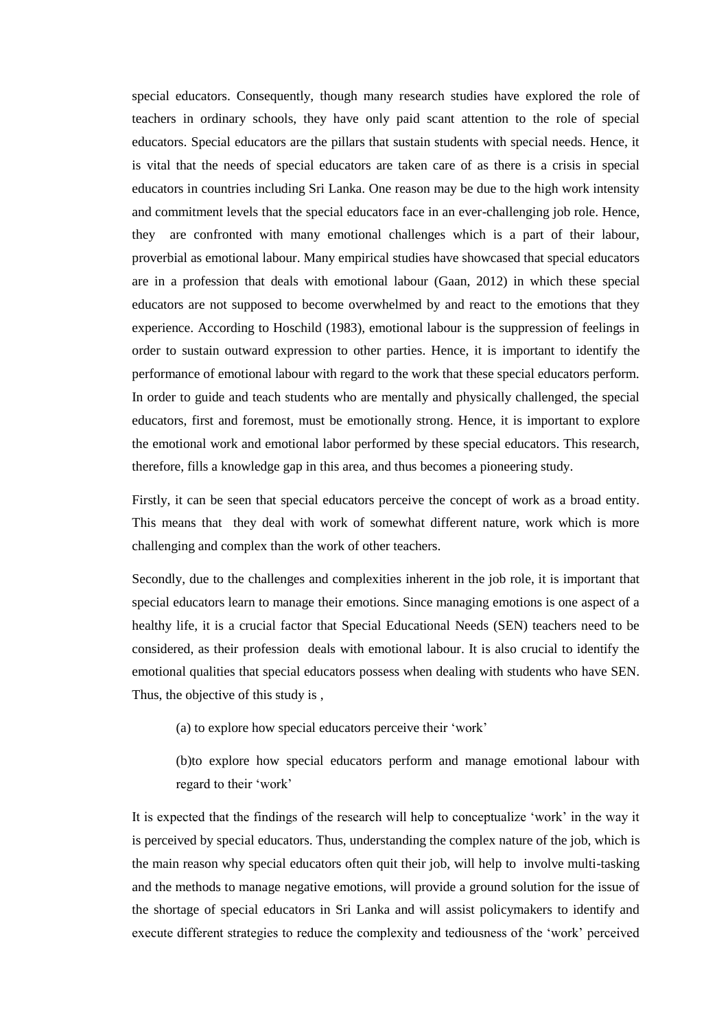special educators. Consequently, though many research studies have explored the role of teachers in ordinary schools, they have only paid scant attention to the role of special educators. Special educators are the pillars that sustain students with special needs. Hence, it is vital that the needs of special educators are taken care of as there is a crisis in special educators in countries including Sri Lanka. One reason may be due to the high work intensity and commitment levels that the special educators face in an ever-challenging job role. Hence, they are confronted with many emotional challenges which is a part of their labour, proverbial as emotional labour. Many empirical studies have showcased that special educators are in a profession that deals with emotional labour (Gaan, 2012) in which these special educators are not supposed to become overwhelmed by and react to the emotions that they experience. According to Hoschild (1983), emotional labour is the suppression of feelings in order to sustain outward expression to other parties. Hence, it is important to identify the performance of emotional labour with regard to the work that these special educators perform. In order to guide and teach students who are mentally and physically challenged, the special educators, first and foremost, must be emotionally strong. Hence, it is important to explore the emotional work and emotional labor performed by these special educators. This research, therefore, fills a knowledge gap in this area, and thus becomes a pioneering study.

Firstly, it can be seen that special educators perceive the concept of work as a broad entity. This means that they deal with work of somewhat different nature, work which is more challenging and complex than the work of other teachers.

Secondly, due to the challenges and complexities inherent in the job role, it is important that special educators learn to manage their emotions. Since managing emotions is one aspect of a healthy life, it is a crucial factor that Special Educational Needs (SEN) teachers need to be considered, as their profession deals with emotional labour. It is also crucial to identify the emotional qualities that special educators possess when dealing with students who have SEN. Thus, the objective of this study is ,

(a) to explore how special educators perceive their 'work'

(b)to explore how special educators perform and manage emotional labour with regard to their 'work'

It is expected that the findings of the research will help to conceptualize 'work' in the way it is perceived by special educators. Thus, understanding the complex nature of the job, which is the main reason why special educators often quit their job, will help to involve multi-tasking and the methods to manage negative emotions, will provide a ground solution for the issue of the shortage of special educators in Sri Lanka and will assist policymakers to identify and execute different strategies to reduce the complexity and tediousness of the 'work' perceived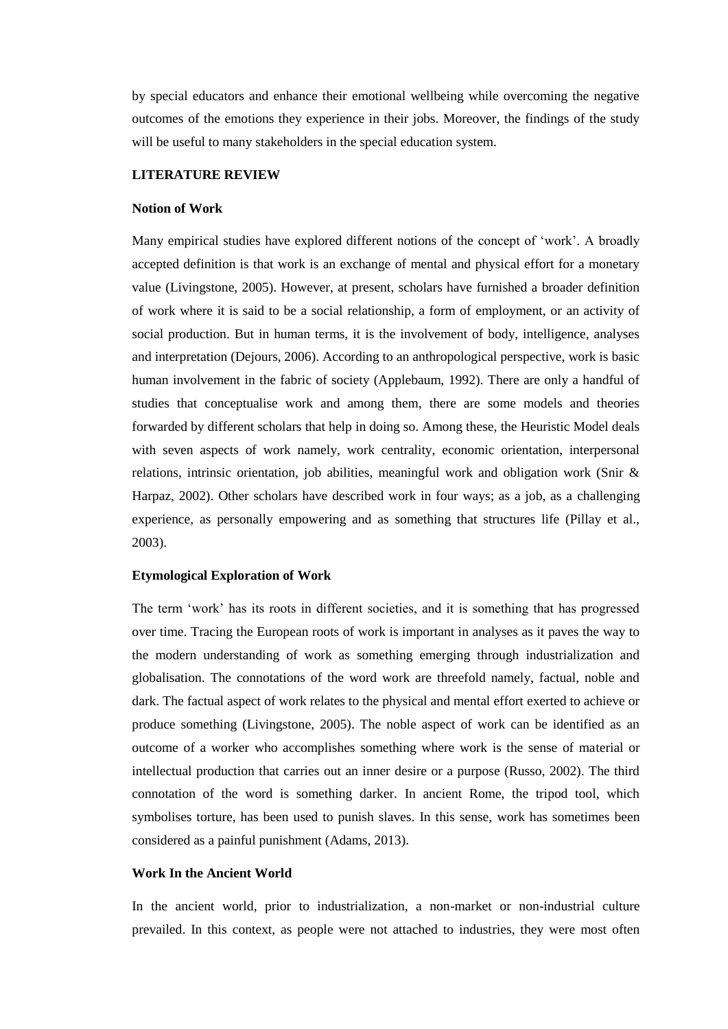by special educators and enhance their emotional wellbeing while overcoming the negative outcomes of the emotions they experience in their jobs. Moreover, the findings of the study will be useful to many stakeholders in the special education system.

#### **LITERATURE REVIEW**

#### **Notion of Work**

Many empirical studies have explored different notions of the concept of 'work'. A broadly accepted definition is that work is an exchange of mental and physical effort for a monetary value (Livingstone, 2005). However, at present, scholars have furnished a broader definition of work where it is said to be a social relationship, a form of employment, or an activity of social production. But in human terms, it is the involvement of body, intelligence, analyses and interpretation (Dejours, 2006). According to an anthropological perspective, work is basic human involvement in the fabric of society (Applebaum, 1992). There are only a handful of studies that conceptualise work and among them, there are some models and theories forwarded by different scholars that help in doing so. Among these, the Heuristic Model deals with seven aspects of work namely, work centrality, economic orientation, interpersonal relations, intrinsic orientation, job abilities, meaningful work and obligation work (Snir & Harpaz, 2002). Other scholars have described work in four ways; as a job, as a challenging experience, as personally empowering and as something that structures life (Pillay et al., 2003).

#### **Etymological Exploration of Work**

The term 'work' has its roots in different societies, and it is something that has progressed over time. Tracing the European roots of work is important in analyses as it paves the way to the modern understanding of work as something emerging through industrialization and globalisation. The connotations of the word work are threefold namely, factual, noble and dark. The factual aspect of work relates to the physical and mental effort exerted to achieve or produce something (Livingstone, 2005). The noble aspect of work can be identified as an outcome of a worker who accomplishes something where work is the sense of material or intellectual production that carries out an inner desire or a purpose (Russo, 2002). The third connotation of the word is something darker. In ancient Rome, the tripod tool, which symbolises torture, has been used to punish slaves. In this sense, work has sometimes been considered as a painful punishment (Adams, 2013).

#### **Work In the Ancient World**

In the ancient world, prior to industrialization, a non-market or non-industrial culture prevailed. In this context, as people were not attached to industries, they were most often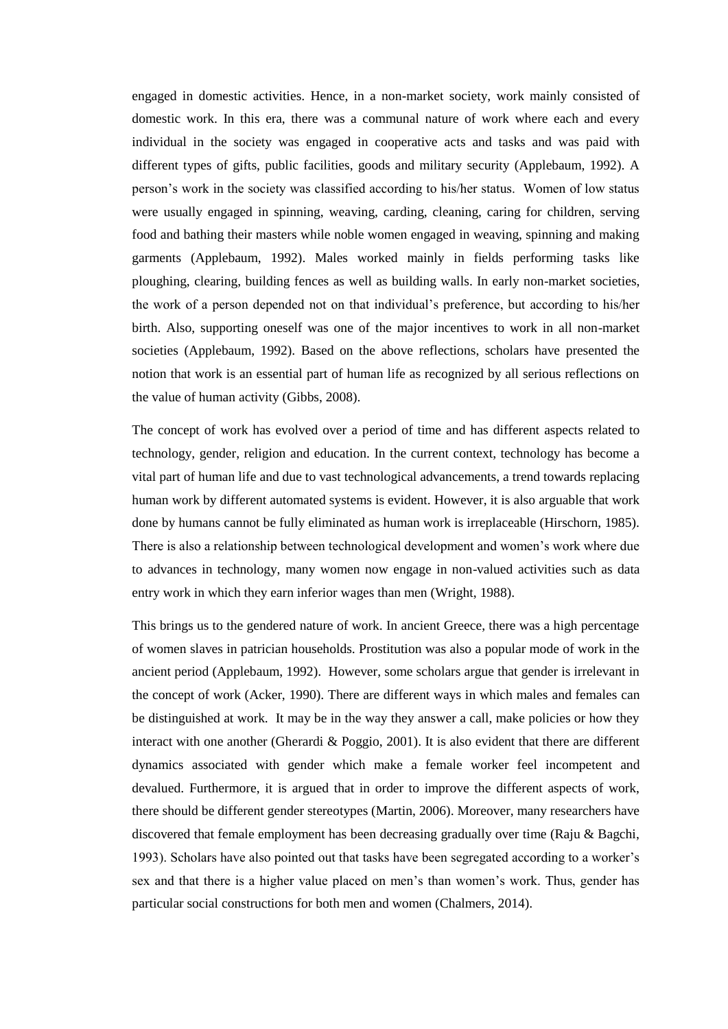engaged in domestic activities. Hence, in a non-market society, work mainly consisted of domestic work. In this era, there was a communal nature of work where each and every individual in the society was engaged in cooperative acts and tasks and was paid with different types of gifts, public facilities, goods and military security (Applebaum, 1992). A person's work in the society was classified according to his/her status. Women of low status were usually engaged in spinning, weaving, carding, cleaning, caring for children, serving food and bathing their masters while noble women engaged in weaving, spinning and making garments (Applebaum, 1992). Males worked mainly in fields performing tasks like ploughing, clearing, building fences as well as building walls. In early non-market societies, the work of a person depended not on that individual's preference, but according to his/her birth. Also, supporting oneself was one of the major incentives to work in all non-market societies (Applebaum, 1992). Based on the above reflections, scholars have presented the notion that work is an essential part of human life as recognized by all serious reflections on the value of human activity (Gibbs, 2008).

The concept of work has evolved over a period of time and has different aspects related to technology, gender, religion and education. In the current context, technology has become a vital part of human life and due to vast technological advancements, a trend towards replacing human work by different automated systems is evident. However, it is also arguable that work done by humans cannot be fully eliminated as human work is irreplaceable (Hirschorn, 1985). There is also a relationship between technological development and women's work where due to advances in technology, many women now engage in non-valued activities such as data entry work in which they earn inferior wages than men (Wright, 1988).

This brings us to the gendered nature of work. In ancient Greece, there was a high percentage of women slaves in patrician households. Prostitution was also a popular mode of work in the ancient period (Applebaum, 1992). However, some scholars argue that gender is irrelevant in the concept of work (Acker, 1990). There are different ways in which males and females can be distinguished at work. It may be in the way they answer a call, make policies or how they interact with one another (Gherardi & Poggio, 2001). It is also evident that there are different dynamics associated with gender which make a female worker feel incompetent and devalued. Furthermore, it is argued that in order to improve the different aspects of work, there should be different gender stereotypes (Martin, 2006). Moreover, many researchers have discovered that female employment has been decreasing gradually over time (Raju & Bagchi, 1993). Scholars have also pointed out that tasks have been segregated according to a worker's sex and that there is a higher value placed on men's than women's work. Thus, gender has particular social constructions for both men and women (Chalmers, 2014).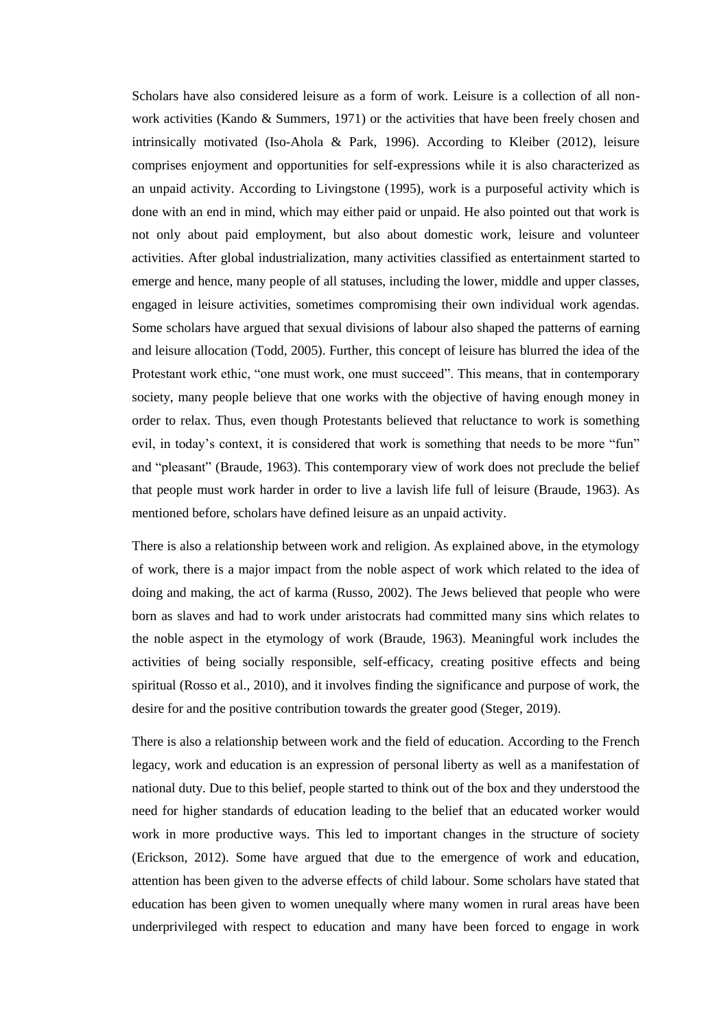Scholars have also considered leisure as a form of work. Leisure is a collection of all nonwork activities (Kando & Summers, 1971) or the activities that have been freely chosen and intrinsically motivated (Iso-Ahola & Park, 1996). According to Kleiber (2012), leisure comprises enjoyment and opportunities for self-expressions while it is also characterized as an unpaid activity. According to Livingstone (1995), work is a purposeful activity which is done with an end in mind, which may either paid or unpaid. He also pointed out that work is not only about paid employment, but also about domestic work, leisure and volunteer activities. After global industrialization, many activities classified as entertainment started to emerge and hence, many people of all statuses, including the lower, middle and upper classes, engaged in leisure activities, sometimes compromising their own individual work agendas. Some scholars have argued that sexual divisions of labour also shaped the patterns of earning and leisure allocation (Todd, 2005). Further, this concept of leisure has blurred the idea of the Protestant work ethic, "one must work, one must succeed". This means, that in contemporary society, many people believe that one works with the objective of having enough money in order to relax. Thus, even though Protestants believed that reluctance to work is something evil, in today's context, it is considered that work is something that needs to be more "fun" and "pleasant" (Braude, 1963). This contemporary view of work does not preclude the belief that people must work harder in order to live a lavish life full of leisure (Braude, 1963). As mentioned before, scholars have defined leisure as an unpaid activity.

There is also a relationship between work and religion. As explained above, in the etymology of work, there is a major impact from the noble aspect of work which related to the idea of doing and making, the act of karma (Russo, 2002). The Jews believed that people who were born as slaves and had to work under aristocrats had committed many sins which relates to the noble aspect in the etymology of work (Braude, 1963). Meaningful work includes the activities of being socially responsible, self-efficacy, creating positive effects and being spiritual (Rosso et al., 2010), and it involves finding the significance and purpose of work, the desire for and the positive contribution towards the greater good (Steger, 2019).

There is also a relationship between work and the field of education. According to the French legacy, work and education is an expression of personal liberty as well as a manifestation of national duty. Due to this belief, people started to think out of the box and they understood the need for higher standards of education leading to the belief that an educated worker would work in more productive ways. This led to important changes in the structure of society (Erickson, 2012). Some have argued that due to the emergence of work and education, attention has been given to the adverse effects of child labour. Some scholars have stated that education has been given to women unequally where many women in rural areas have been underprivileged with respect to education and many have been forced to engage in work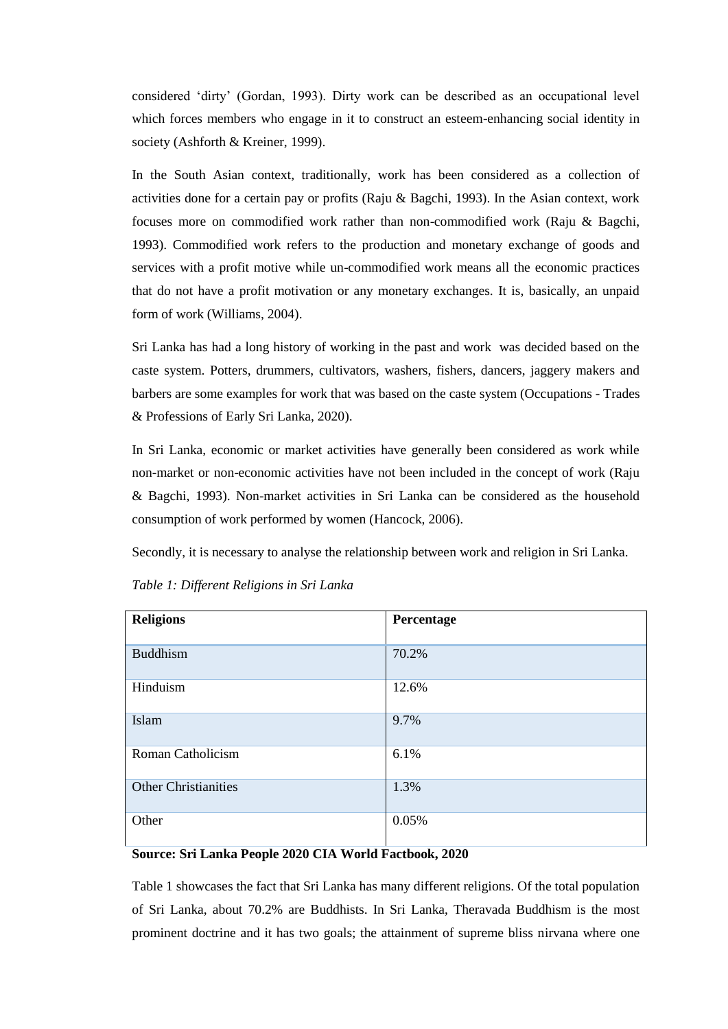considered 'dirty' (Gordan, 1993). Dirty work can be described as an occupational level which forces members who engage in it to construct an esteem-enhancing social identity in society (Ashforth & Kreiner, 1999).

In the South Asian context, traditionally, work has been considered as a collection of activities done for a certain pay or profits (Raju & Bagchi, 1993). In the Asian context, work focuses more on commodified work rather than non-commodified work (Raju & Bagchi, 1993). Commodified work refers to the production and monetary exchange of goods and services with a profit motive while un-commodified work means all the economic practices that do not have a profit motivation or any monetary exchanges. It is, basically, an unpaid form of work (Williams, 2004).

Sri Lanka has had a long history of working in the past and work was decided based on the caste system. Potters, drummers, cultivators, washers, fishers, dancers, jaggery makers and barbers are some examples for work that was based on the caste system (Occupations - Trades & Professions of Early Sri Lanka, 2020).

In Sri Lanka, economic or market activities have generally been considered as work while non-market or non-economic activities have not been included in the concept of work (Raju & Bagchi, 1993). Non-market activities in Sri Lanka can be considered as the household consumption of work performed by women (Hancock, 2006).

Secondly, it is necessary to analyse the relationship between work and religion in Sri Lanka.

| <b>Religions</b>            | Percentage |
|-----------------------------|------------|
| <b>Buddhism</b>             | 70.2%      |
| Hinduism                    | 12.6%      |
| Islam                       | 9.7%       |
| Roman Catholicism           | 6.1%       |
| <b>Other Christianities</b> | 1.3%       |
| Other                       | 0.05%      |

*Table 1: Different Religions in Sri Lanka* 

## **Source: Sri Lanka People 2020 CIA World Factbook, 2020**

Table 1 showcases the fact that Sri Lanka has many different religions. Of the total population of Sri Lanka, about 70.2% are Buddhists. In Sri Lanka, Theravada Buddhism is the most prominent doctrine and it has two goals; the attainment of supreme bliss nirvana where one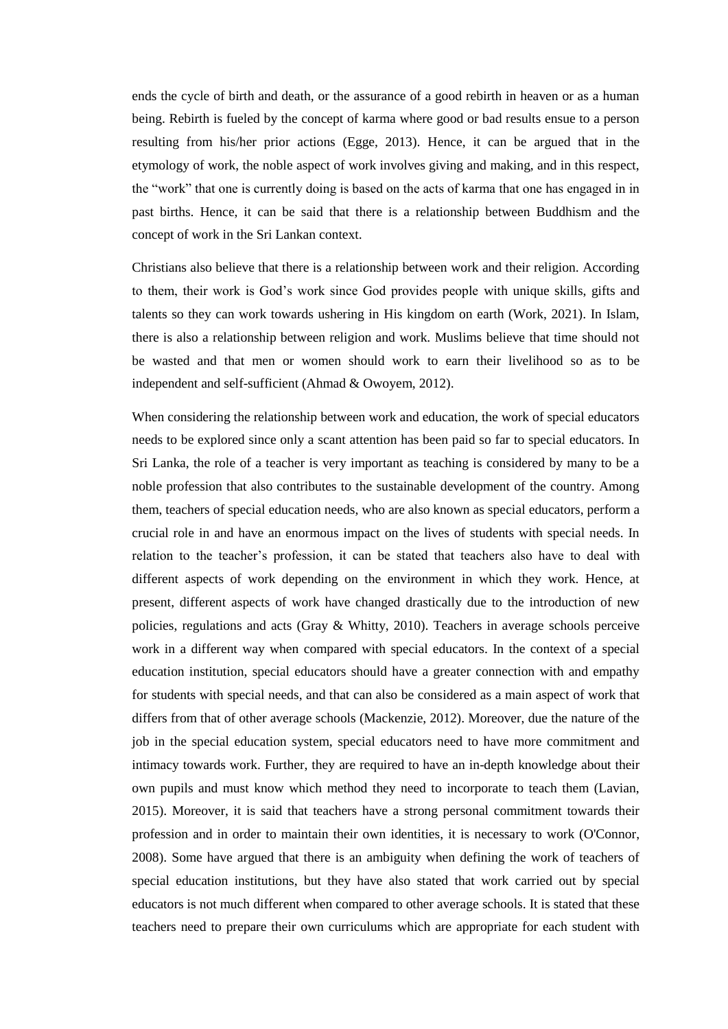ends the cycle of birth and death, or the assurance of a good rebirth in heaven or as a human being. Rebirth is fueled by the concept of karma where good or bad results ensue to a person resulting from his/her prior actions (Egge, 2013). Hence, it can be argued that in the etymology of work, the noble aspect of work involves giving and making, and in this respect, the "work" that one is currently doing is based on the acts of karma that one has engaged in in past births. Hence, it can be said that there is a relationship between Buddhism and the concept of work in the Sri Lankan context.

Christians also believe that there is a relationship between work and their religion. According to them, their work is God's work since God provides people with unique skills, gifts and talents so they can work towards ushering in His kingdom on earth (Work, 2021). In Islam, there is also a relationship between religion and work. Muslims believe that time should not be wasted and that men or women should work to earn their livelihood so as to be independent and self-sufficient (Ahmad & Owoyem, 2012).

When considering the relationship between work and education, the work of special educators needs to be explored since only a scant attention has been paid so far to special educators. In Sri Lanka, the role of a teacher is very important as teaching is considered by many to be a noble profession that also contributes to the sustainable development of the country. Among them, teachers of special education needs, who are also known as special educators, perform a crucial role in and have an enormous impact on the lives of students with special needs. In relation to the teacher's profession, it can be stated that teachers also have to deal with different aspects of work depending on the environment in which they work. Hence, at present, different aspects of work have changed drastically due to the introduction of new policies, regulations and acts (Gray  $\&$  Whitty, 2010). Teachers in average schools perceive work in a different way when compared with special educators. In the context of a special education institution, special educators should have a greater connection with and empathy for students with special needs, and that can also be considered as a main aspect of work that differs from that of other average schools (Mackenzie, 2012). Moreover, due the nature of the job in the special education system, special educators need to have more commitment and intimacy towards work. Further, they are required to have an in-depth knowledge about their own pupils and must know which method they need to incorporate to teach them (Lavian, 2015). Moreover, it is said that teachers have a strong personal commitment towards their profession and in order to maintain their own identities, it is necessary to work (O'Connor, 2008). Some have argued that there is an ambiguity when defining the work of teachers of special education institutions, but they have also stated that work carried out by special educators is not much different when compared to other average schools. It is stated that these teachers need to prepare their own curriculums which are appropriate for each student with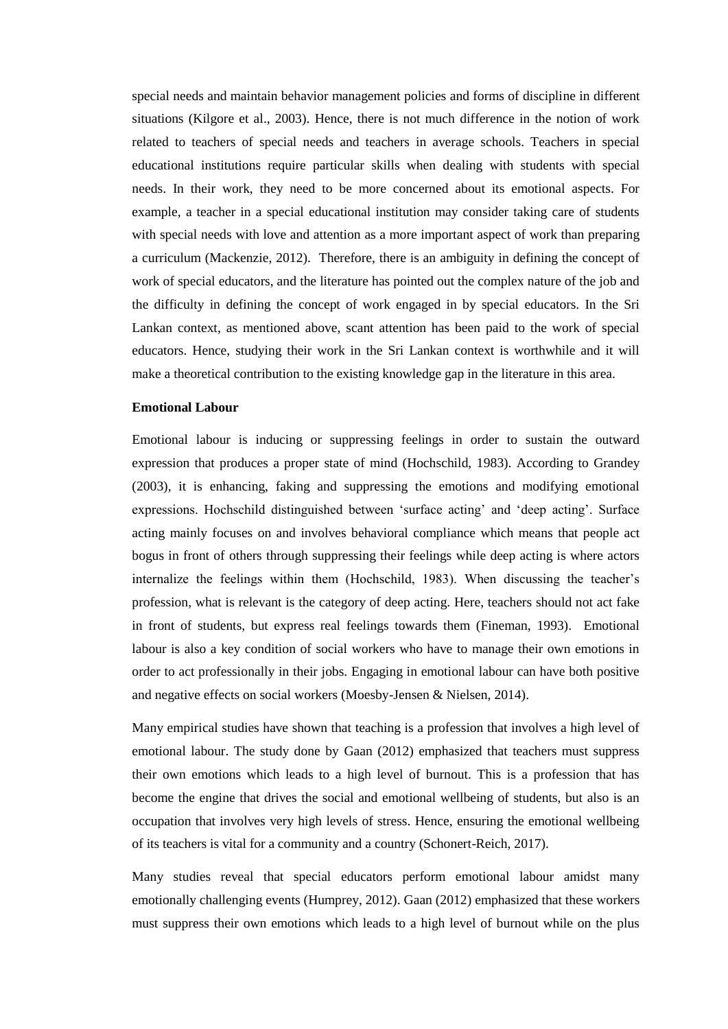special needs and maintain behavior management policies and forms of discipline in different situations (Kilgore et al., 2003). Hence, there is not much difference in the notion of work related to teachers of special needs and teachers in average schools. Teachers in special educational institutions require particular skills when dealing with students with special needs. In their work, they need to be more concerned about its emotional aspects. For example, a teacher in a special educational institution may consider taking care of students with special needs with love and attention as a more important aspect of work than preparing a curriculum (Mackenzie, 2012). Therefore, there is an ambiguity in defining the concept of work of special educators, and the literature has pointed out the complex nature of the job and the difficulty in defining the concept of work engaged in by special educators. In the Sri Lankan context, as mentioned above, scant attention has been paid to the work of special educators. Hence, studying their work in the Sri Lankan context is worthwhile and it will make a theoretical contribution to the existing knowledge gap in the literature in this area.

#### **Emotional Labour**

Emotional labour is inducing or suppressing feelings in order to sustain the outward expression that produces a proper state of mind (Hochschild, 1983). According to Grandey (2003), it is enhancing, faking and suppressing the emotions and modifying emotional expressions. Hochschild distinguished between 'surface acting' and 'deep acting'. Surface acting mainly focuses on and involves behavioral compliance which means that people act bogus in front of others through suppressing their feelings while deep acting is where actors internalize the feelings within them (Hochschild, 1983). When discussing the teacher's profession, what is relevant is the category of deep acting. Here, teachers should not act fake in front of students, but express real feelings towards them (Fineman, 1993). Emotional labour is also a key condition of social workers who have to manage their own emotions in order to act professionally in their jobs. Engaging in emotional labour can have both positive and negative effects on social workers (Moesby-Jensen & Nielsen, 2014).

Many empirical studies have shown that teaching is a profession that involves a high level of emotional labour. The study done by Gaan (2012) emphasized that teachers must suppress their own emotions which leads to a high level of burnout. This is a profession that has become the engine that drives the social and emotional wellbeing of students, but also is an occupation that involves very high levels of stress. Hence, ensuring the emotional wellbeing of its teachers is vital for a community and a country (Schonert-Reich, 2017).

Many studies reveal that special educators perform emotional labour amidst many emotionally challenging events (Humprey, 2012). Gaan (2012) emphasized that these workers must suppress their own emotions which leads to a high level of burnout while on the plus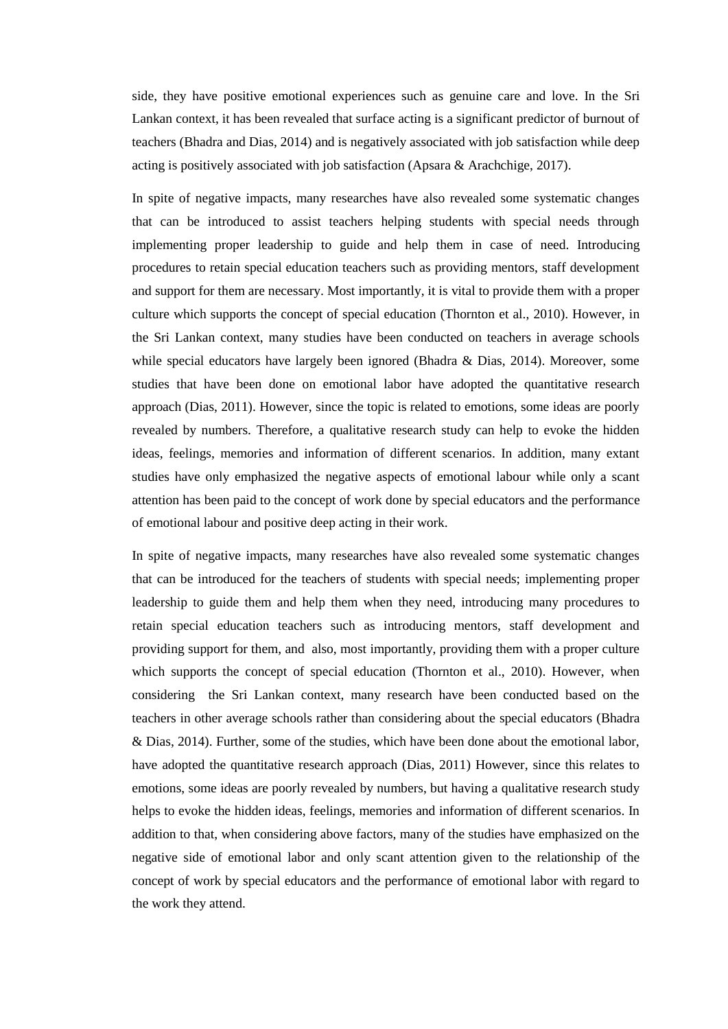side, they have positive emotional experiences such as genuine care and love. In the Sri Lankan context, it has been revealed that surface acting is a significant predictor of burnout of teachers (Bhadra and Dias, 2014) and is negatively associated with job satisfaction while deep acting is positively associated with job satisfaction (Apsara  $\&$  Arachchige, 2017).

In spite of negative impacts, many researches have also revealed some systematic changes that can be introduced to assist teachers helping students with special needs through implementing proper leadership to guide and help them in case of need. Introducing procedures to retain special education teachers such as providing mentors, staff development and support for them are necessary. Most importantly, it is vital to provide them with a proper culture which supports the concept of special education (Thornton et al., 2010). However, in the Sri Lankan context, many studies have been conducted on teachers in average schools while special educators have largely been ignored (Bhadra & Dias, 2014). Moreover, some studies that have been done on emotional labor have adopted the quantitative research approach (Dias, 2011). However, since the topic is related to emotions, some ideas are poorly revealed by numbers. Therefore, a qualitative research study can help to evoke the hidden ideas, feelings, memories and information of different scenarios. In addition, many extant studies have only emphasized the negative aspects of emotional labour while only a scant attention has been paid to the concept of work done by special educators and the performance of emotional labour and positive deep acting in their work.

In spite of negative impacts, many researches have also revealed some systematic changes that can be introduced for the teachers of students with special needs; implementing proper leadership to guide them and help them when they need, introducing many procedures to retain special education teachers such as introducing mentors, staff development and providing support for them, and also, most importantly, providing them with a proper culture which supports the concept of special education (Thornton et al., 2010). However, when considering the Sri Lankan context, many research have been conducted based on the teachers in other average schools rather than considering about the special educators (Bhadra & Dias, 2014). Further, some of the studies, which have been done about the emotional labor, have adopted the quantitative research approach (Dias, 2011) However, since this relates to emotions, some ideas are poorly revealed by numbers, but having a qualitative research study helps to evoke the hidden ideas, feelings, memories and information of different scenarios. In addition to that, when considering above factors, many of the studies have emphasized on the negative side of emotional labor and only scant attention given to the relationship of the concept of work by special educators and the performance of emotional labor with regard to the work they attend.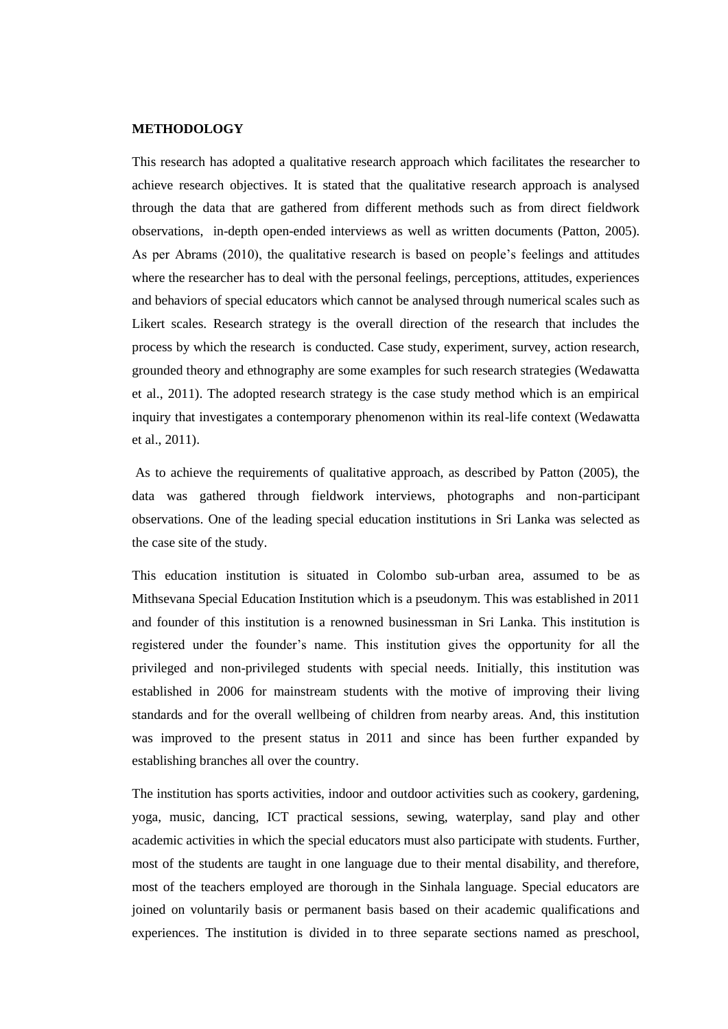#### **METHODOLOGY**

This research has adopted a qualitative research approach which facilitates the researcher to achieve research objectives. It is stated that the qualitative research approach is analysed through the data that are gathered from different methods such as from direct fieldwork observations, in-depth open-ended interviews as well as written documents (Patton, 2005). As per Abrams (2010), the qualitative research is based on people's feelings and attitudes where the researcher has to deal with the personal feelings, perceptions, attitudes, experiences and behaviors of special educators which cannot be analysed through numerical scales such as Likert scales. Research strategy is the overall direction of the research that includes the process by which the research is conducted. Case study, experiment, survey, action research, grounded theory and ethnography are some examples for such research strategies (Wedawatta et al., 2011). The adopted research strategy is the case study method which is an empirical inquiry that investigates a contemporary phenomenon within its real-life context (Wedawatta et al., 2011).

As to achieve the requirements of qualitative approach, as described by Patton (2005), the data was gathered through fieldwork interviews, photographs and non-participant observations. One of the leading special education institutions in Sri Lanka was selected as the case site of the study.

This education institution is situated in Colombo sub-urban area, assumed to be as Mithsevana Special Education Institution which is a pseudonym. This was established in 2011 and founder of this institution is a renowned businessman in Sri Lanka. This institution is registered under the founder's name. This institution gives the opportunity for all the privileged and non-privileged students with special needs. Initially, this institution was established in 2006 for mainstream students with the motive of improving their living standards and for the overall wellbeing of children from nearby areas. And, this institution was improved to the present status in 2011 and since has been further expanded by establishing branches all over the country.

The institution has sports activities, indoor and outdoor activities such as cookery, gardening, yoga, music, dancing, ICT practical sessions, sewing, waterplay, sand play and other academic activities in which the special educators must also participate with students. Further, most of the students are taught in one language due to their mental disability, and therefore, most of the teachers employed are thorough in the Sinhala language. Special educators are joined on voluntarily basis or permanent basis based on their academic qualifications and experiences. The institution is divided in to three separate sections named as preschool,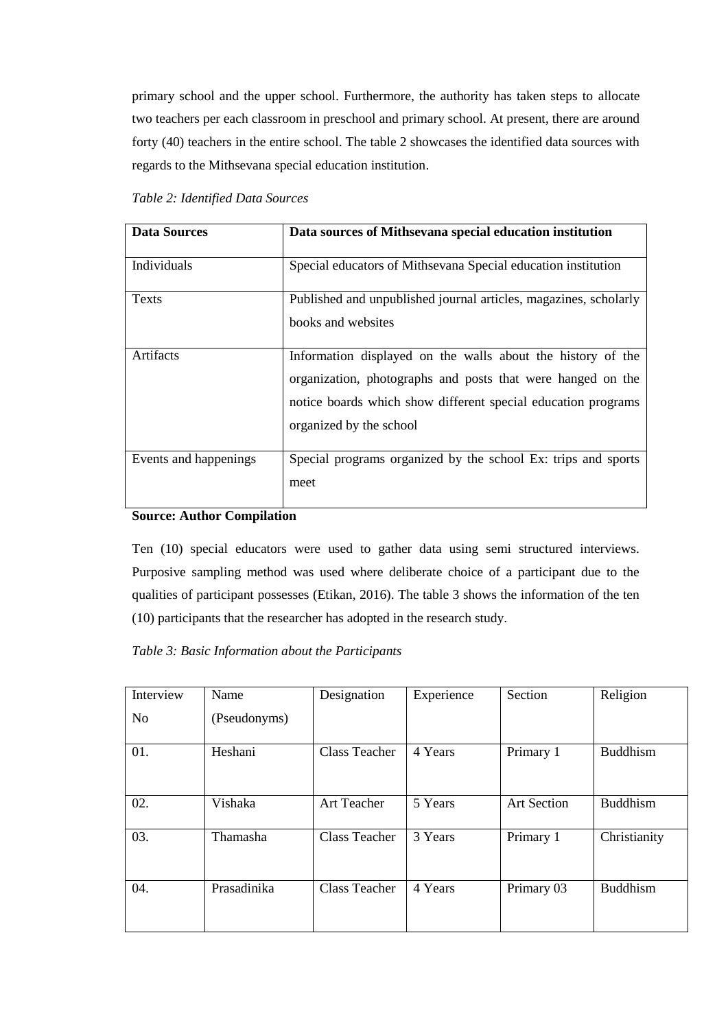primary school and the upper school. Furthermore, the authority has taken steps to allocate two teachers per each classroom in preschool and primary school. At present, there are around forty (40) teachers in the entire school. The table 2 showcases the identified data sources with regards to the Mithsevana special education institution.

| <b>Data Sources</b>   | Data sources of Mithsevana special education institution         |
|-----------------------|------------------------------------------------------------------|
|                       |                                                                  |
| Individuals           | Special educators of Mithsevana Special education institution    |
|                       |                                                                  |
| <b>Texts</b>          | Published and unpublished journal articles, magazines, scholarly |
|                       | books and websites                                               |
|                       |                                                                  |
| Artifacts             | Information displayed on the walls about the history of the      |
|                       | organization, photographs and posts that were hanged on the      |
|                       | notice boards which show different special education programs    |
|                       | organized by the school                                          |
|                       |                                                                  |
| Events and happenings | Special programs organized by the school Ex: trips and sports    |
|                       | meet                                                             |
|                       |                                                                  |

## **Source: Author Compilation**

Ten (10) special educators were used to gather data using semi structured interviews. Purposive sampling method was used where deliberate choice of a participant due to the qualities of participant possesses (Etikan, 2016). The table 3 shows the information of the ten (10) participants that the researcher has adopted in the research study.

## *Table 3: Basic Information about the Participants*

| Interview      | Name         | Designation          | Experience | Section            | Religion        |
|----------------|--------------|----------------------|------------|--------------------|-----------------|
| N <sub>0</sub> | (Pseudonyms) |                      |            |                    |                 |
| 01.            | Heshani      | <b>Class Teacher</b> | 4 Years    | Primary 1          | <b>Buddhism</b> |
| 02.            | Vishaka      | Art Teacher          | 5 Years    | <b>Art Section</b> | <b>Buddhism</b> |
| 03.            | Thamasha     | <b>Class Teacher</b> | 3 Years    | Primary 1          | Christianity    |
| 04.            | Prasadinika  | <b>Class Teacher</b> | 4 Years    | Primary 03         | <b>Buddhism</b> |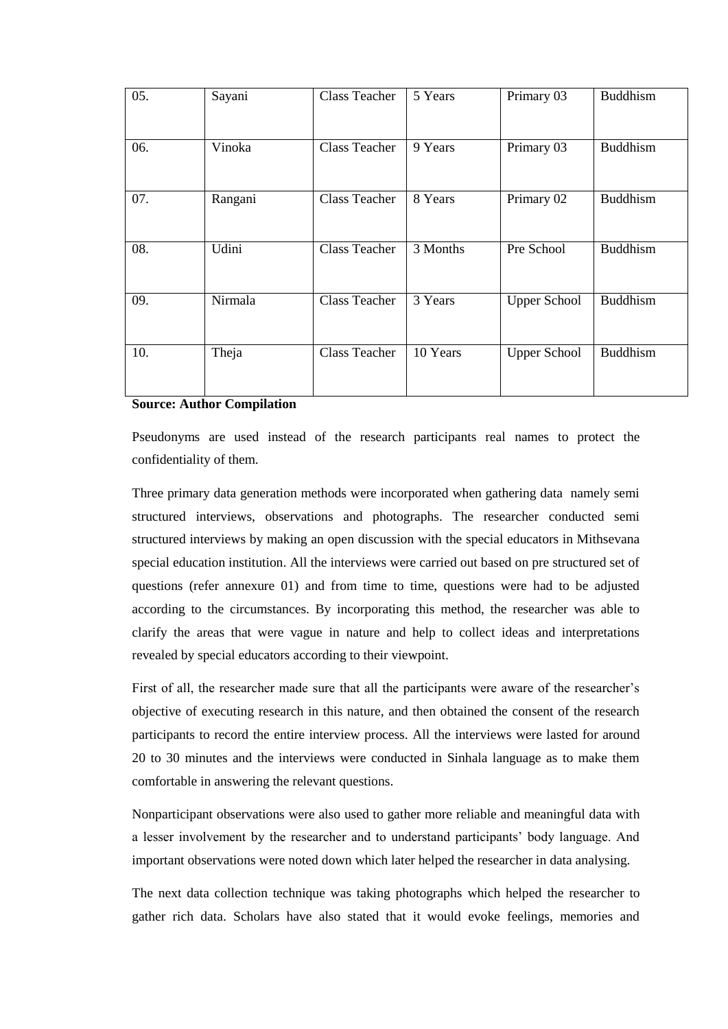| 05. | Sayani  | <b>Class Teacher</b> | 5 Years  | Primary 03          | <b>Buddhism</b> |
|-----|---------|----------------------|----------|---------------------|-----------------|
| 06. | Vinoka  | <b>Class Teacher</b> | 9 Years  | Primary 03          | <b>Buddhism</b> |
| 07. | Rangani | <b>Class Teacher</b> | 8 Years  | Primary 02          | <b>Buddhism</b> |
| 08. | Udini   | <b>Class Teacher</b> | 3 Months | Pre School          | <b>Buddhism</b> |
| 09. | Nirmala | <b>Class Teacher</b> | 3 Years  | <b>Upper School</b> | <b>Buddhism</b> |
| 10. | Theja   | <b>Class Teacher</b> | 10 Years | <b>Upper School</b> | <b>Buddhism</b> |

#### **Source: Author Compilation**

Pseudonyms are used instead of the research participants real names to protect the confidentiality of them.

Three primary data generation methods were incorporated when gathering data namely semi structured interviews, observations and photographs. The researcher conducted semi structured interviews by making an open discussion with the special educators in Mithsevana special education institution. All the interviews were carried out based on pre structured set of questions (refer annexure 01) and from time to time, questions were had to be adjusted according to the circumstances. By incorporating this method, the researcher was able to clarify the areas that were vague in nature and help to collect ideas and interpretations revealed by special educators according to their viewpoint.

First of all, the researcher made sure that all the participants were aware of the researcher's objective of executing research in this nature, and then obtained the consent of the research participants to record the entire interview process. All the interviews were lasted for around 20 to 30 minutes and the interviews were conducted in Sinhala language as to make them comfortable in answering the relevant questions.

Nonparticipant observations were also used to gather more reliable and meaningful data with a lesser involvement by the researcher and to understand participants' body language. And important observations were noted down which later helped the researcher in data analysing.

The next data collection technique was taking photographs which helped the researcher to gather rich data. Scholars have also stated that it would evoke feelings, memories and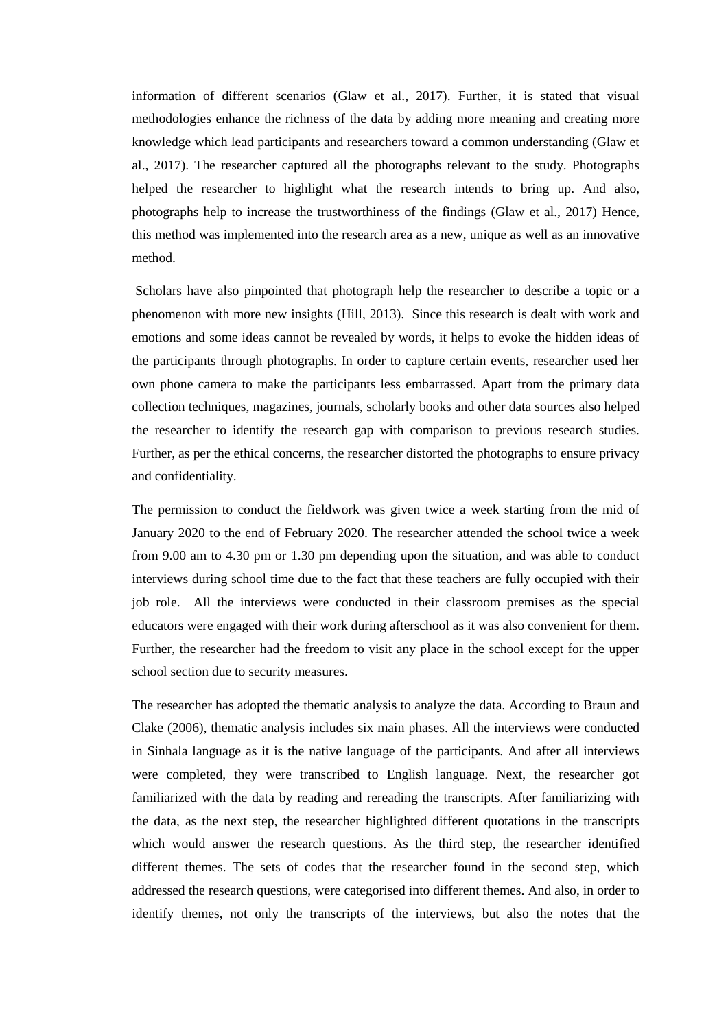information of different scenarios (Glaw et al., 2017). Further, it is stated that visual methodologies enhance the richness of the data by adding more meaning and creating more knowledge which lead participants and researchers toward a common understanding (Glaw et al., 2017). The researcher captured all the photographs relevant to the study. Photographs helped the researcher to highlight what the research intends to bring up. And also, photographs help to increase the trustworthiness of the findings (Glaw et al., 2017) Hence, this method was implemented into the research area as a new, unique as well as an innovative method.

Scholars have also pinpointed that photograph help the researcher to describe a topic or a phenomenon with more new insights (Hill, 2013). Since this research is dealt with work and emotions and some ideas cannot be revealed by words, it helps to evoke the hidden ideas of the participants through photographs. In order to capture certain events, researcher used her own phone camera to make the participants less embarrassed. Apart from the primary data collection techniques, magazines, journals, scholarly books and other data sources also helped the researcher to identify the research gap with comparison to previous research studies. Further, as per the ethical concerns, the researcher distorted the photographs to ensure privacy and confidentiality.

The permission to conduct the fieldwork was given twice a week starting from the mid of January 2020 to the end of February 2020. The researcher attended the school twice a week from 9.00 am to 4.30 pm or 1.30 pm depending upon the situation, and was able to conduct interviews during school time due to the fact that these teachers are fully occupied with their job role. All the interviews were conducted in their classroom premises as the special educators were engaged with their work during afterschool as it was also convenient for them. Further, the researcher had the freedom to visit any place in the school except for the upper school section due to security measures.

The researcher has adopted the thematic analysis to analyze the data. According to Braun and Clake (2006), thematic analysis includes six main phases. All the interviews were conducted in Sinhala language as it is the native language of the participants. And after all interviews were completed, they were transcribed to English language. Next, the researcher got familiarized with the data by reading and rereading the transcripts. After familiarizing with the data, as the next step, the researcher highlighted different quotations in the transcripts which would answer the research questions. As the third step, the researcher identified different themes. The sets of codes that the researcher found in the second step, which addressed the research questions, were categorised into different themes. And also, in order to identify themes, not only the transcripts of the interviews, but also the notes that the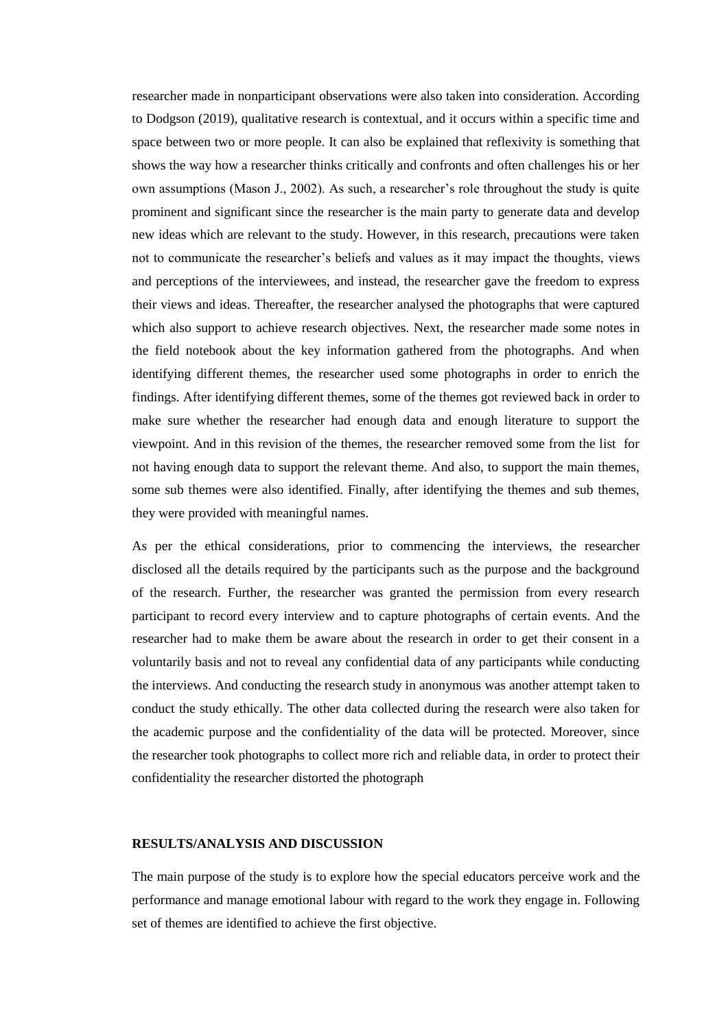researcher made in nonparticipant observations were also taken into consideration. According to Dodgson (2019), qualitative research is contextual, and it occurs within a specific time and space between two or more people. It can also be explained that reflexivity is something that shows the way how a researcher thinks critically and confronts and often challenges his or her own assumptions (Mason J., 2002). As such, a researcher's role throughout the study is quite prominent and significant since the researcher is the main party to generate data and develop new ideas which are relevant to the study. However, in this research, precautions were taken not to communicate the researcher's beliefs and values as it may impact the thoughts, views and perceptions of the interviewees, and instead, the researcher gave the freedom to express their views and ideas. Thereafter, the researcher analysed the photographs that were captured which also support to achieve research objectives. Next, the researcher made some notes in the field notebook about the key information gathered from the photographs. And when identifying different themes, the researcher used some photographs in order to enrich the findings. After identifying different themes, some of the themes got reviewed back in order to make sure whether the researcher had enough data and enough literature to support the viewpoint. And in this revision of the themes, the researcher removed some from the list for not having enough data to support the relevant theme. And also, to support the main themes, some sub themes were also identified. Finally, after identifying the themes and sub themes, they were provided with meaningful names.

As per the ethical considerations, prior to commencing the interviews, the researcher disclosed all the details required by the participants such as the purpose and the background of the research. Further, the researcher was granted the permission from every research participant to record every interview and to capture photographs of certain events. And the researcher had to make them be aware about the research in order to get their consent in a voluntarily basis and not to reveal any confidential data of any participants while conducting the interviews. And conducting the research study in anonymous was another attempt taken to conduct the study ethically. The other data collected during the research were also taken for the academic purpose and the confidentiality of the data will be protected. Moreover, since the researcher took photographs to collect more rich and reliable data, in order to protect their confidentiality the researcher distorted the photograph

#### **RESULTS/ANALYSIS AND DISCUSSION**

The main purpose of the study is to explore how the special educators perceive work and the performance and manage emotional labour with regard to the work they engage in. Following set of themes are identified to achieve the first objective.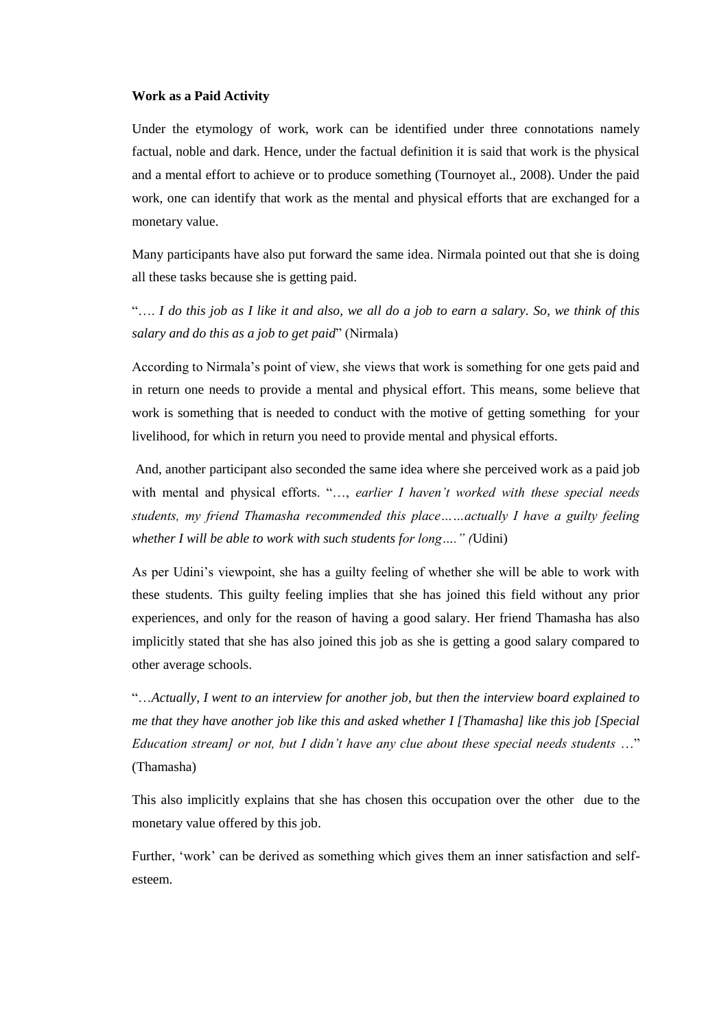#### **Work as a Paid Activity**

Under the etymology of work, work can be identified under three connotations namely factual, noble and dark. Hence, under the factual definition it is said that work is the physical and a mental effort to achieve or to produce something (Tournoyet al., 2008). Under the paid work, one can identify that work as the mental and physical efforts that are exchanged for a monetary value.

Many participants have also put forward the same idea. Nirmala pointed out that she is doing all these tasks because she is getting paid.

"…. *I do this job as I like it and also, we all do a job to earn a salary. So, we think of this salary and do this as a job to get paid*" (Nirmala)

According to Nirmala's point of view, she views that work is something for one gets paid and in return one needs to provide a mental and physical effort. This means, some believe that work is something that is needed to conduct with the motive of getting something for your livelihood, for which in return you need to provide mental and physical efforts.

And, another participant also seconded the same idea where she perceived work as a paid job with mental and physical efforts. "…, *earlier I haven't worked with these special needs students, my friend Thamasha recommended this place……actually I have a guilty feeling whether I will be able to work with such students for long…." (*Udini)

As per Udini's viewpoint, she has a guilty feeling of whether she will be able to work with these students. This guilty feeling implies that she has joined this field without any prior experiences, and only for the reason of having a good salary. Her friend Thamasha has also implicitly stated that she has also joined this job as she is getting a good salary compared to other average schools.

"…*Actually, I went to an interview for another job, but then the interview board explained to me that they have another job like this and asked whether I [Thamasha] like this job [Special Education stream] or not, but I didn't have any clue about these special needs students* …" (Thamasha)

This also implicitly explains that she has chosen this occupation over the other due to the monetary value offered by this job.

Further, 'work' can be derived as something which gives them an inner satisfaction and selfesteem.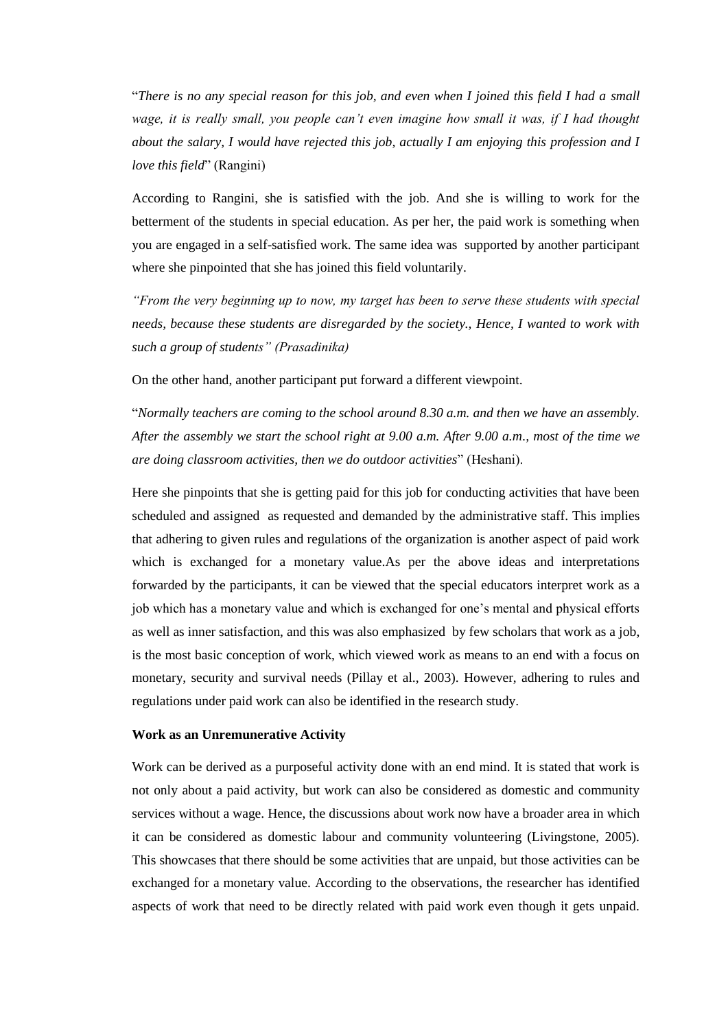"*There is no any special reason for this job, and even when I joined this field I had a small wage, it is really small, you people can't even imagine how small it was, if I had thought about the salary, I would have rejected this job, actually I am enjoying this profession and I love this field*" (Rangini)

According to Rangini, she is satisfied with the job. And she is willing to work for the betterment of the students in special education. As per her, the paid work is something when you are engaged in a self-satisfied work. The same idea was supported by another participant where she pinpointed that she has joined this field voluntarily.

*"From the very beginning up to now, my target has been to serve these students with special needs, because these students are disregarded by the society., Hence, I wanted to work with such a group of students" (Prasadinika)* 

On the other hand, another participant put forward a different viewpoint.

"*Normally teachers are coming to the school around 8.30 a.m. and then we have an assembly. After the assembly we start the school right at 9.00 a.m. After 9.00 a.m., most of the time we are doing classroom activities, then we do outdoor activities*" (Heshani).

Here she pinpoints that she is getting paid for this job for conducting activities that have been scheduled and assigned as requested and demanded by the administrative staff. This implies that adhering to given rules and regulations of the organization is another aspect of paid work which is exchanged for a monetary value.As per the above ideas and interpretations forwarded by the participants, it can be viewed that the special educators interpret work as a job which has a monetary value and which is exchanged for one's mental and physical efforts as well as inner satisfaction, and this was also emphasized by few scholars that work as a job, is the most basic conception of work, which viewed work as means to an end with a focus on monetary, security and survival needs (Pillay et al., 2003). However, adhering to rules and regulations under paid work can also be identified in the research study.

#### **Work as an Unremunerative Activity**

Work can be derived as a purposeful activity done with an end mind. It is stated that work is not only about a paid activity, but work can also be considered as domestic and community services without a wage. Hence, the discussions about work now have a broader area in which it can be considered as domestic labour and community volunteering (Livingstone, 2005). This showcases that there should be some activities that are unpaid, but those activities can be exchanged for a monetary value. According to the observations, the researcher has identified aspects of work that need to be directly related with paid work even though it gets unpaid.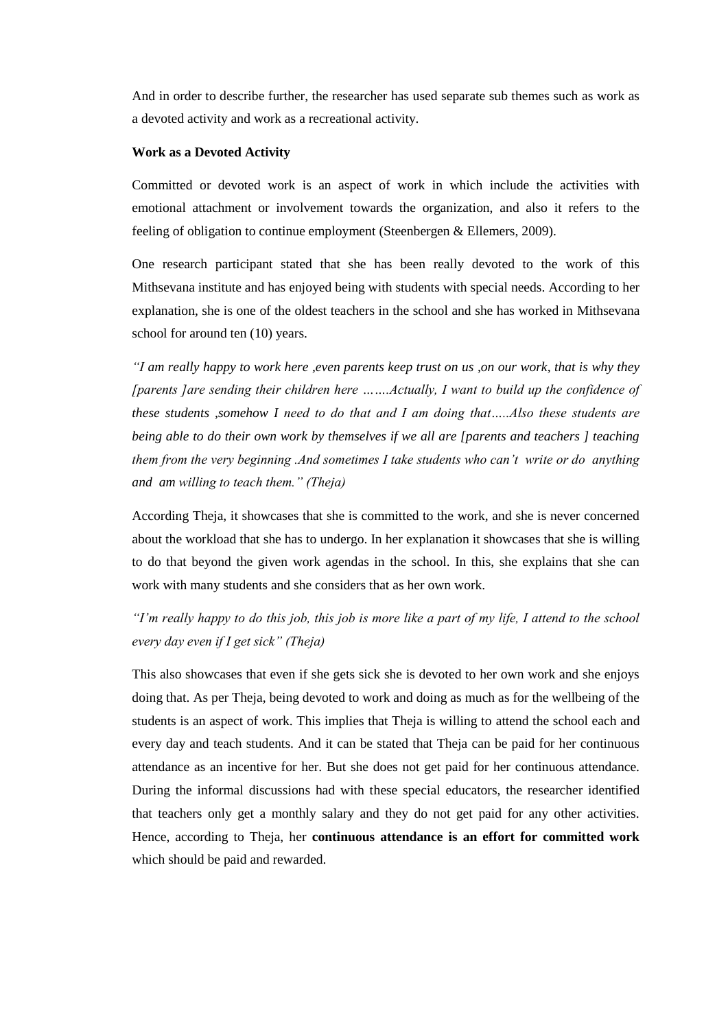And in order to describe further, the researcher has used separate sub themes such as work as a devoted activity and work as a recreational activity.

#### **Work as a Devoted Activity**

Committed or devoted work is an aspect of work in which include the activities with emotional attachment or involvement towards the organization, and also it refers to the feeling of obligation to continue employment (Steenbergen & Ellemers, 2009).

One research participant stated that she has been really devoted to the work of this Mithsevana institute and has enjoyed being with students with special needs. According to her explanation, she is one of the oldest teachers in the school and she has worked in Mithsevana school for around ten (10) years.

*"I am really happy to work here ,even parents keep trust on us ,on our work, that is why they [parents ]are sending their children here …….Actually, I want to build up the confidence of these students ,somehow I need to do that and I am doing that…..Also these students are being able to do their own work by themselves if we all are [parents and teachers ] teaching them from the very beginning .And sometimes I take students who can't write or do anything and am willing to teach them." (Theja)*

According Theja, it showcases that she is committed to the work, and she is never concerned about the workload that she has to undergo. In her explanation it showcases that she is willing to do that beyond the given work agendas in the school. In this, she explains that she can work with many students and she considers that as her own work.

## *"I'm really happy to do this job, this job is more like a part of my life, I attend to the school every day even if I get sick" (Theja)*

This also showcases that even if she gets sick she is devoted to her own work and she enjoys doing that. As per Theja, being devoted to work and doing as much as for the wellbeing of the students is an aspect of work. This implies that Theja is willing to attend the school each and every day and teach students. And it can be stated that Theja can be paid for her continuous attendance as an incentive for her. But she does not get paid for her continuous attendance. During the informal discussions had with these special educators, the researcher identified that teachers only get a monthly salary and they do not get paid for any other activities. Hence, according to Theja, her **continuous attendance is an effort for committed work** which should be paid and rewarded.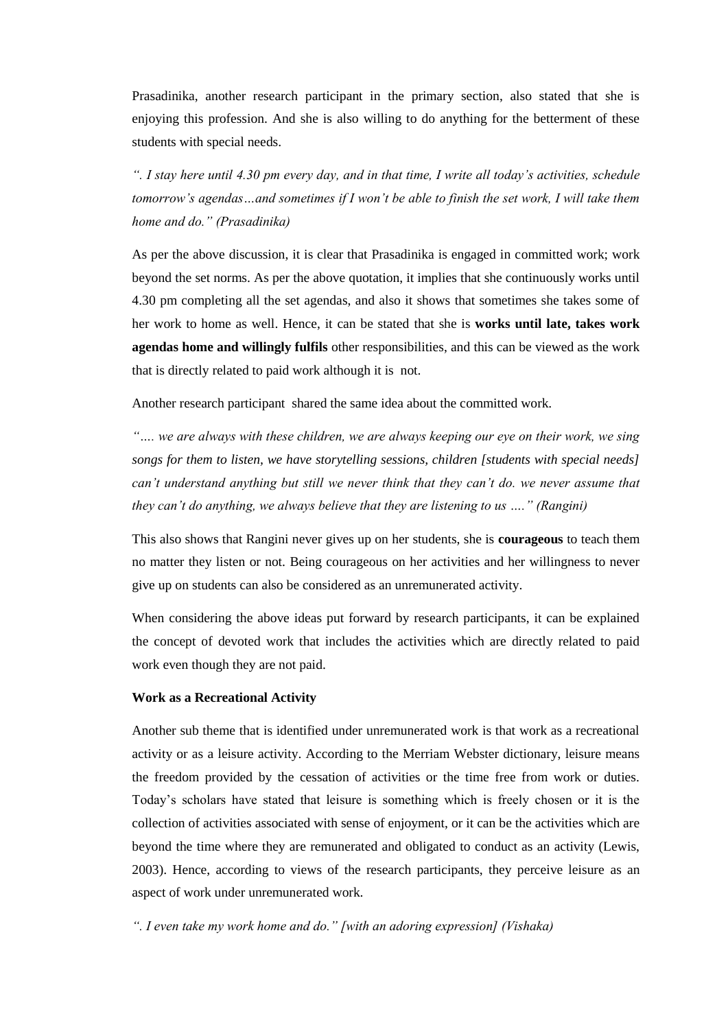Prasadinika, another research participant in the primary section, also stated that she is enjoying this profession. And she is also willing to do anything for the betterment of these students with special needs.

*". I stay here until 4.30 pm every day, and in that time, I write all today's activities, schedule tomorrow's agendas…and sometimes if I won't be able to finish the set work, I will take them home and do." (Prasadinika)*

As per the above discussion, it is clear that Prasadinika is engaged in committed work; work beyond the set norms. As per the above quotation, it implies that she continuously works until 4.30 pm completing all the set agendas, and also it shows that sometimes she takes some of her work to home as well. Hence, it can be stated that she is **works until late, takes work agendas home and willingly fulfils** other responsibilities, and this can be viewed as the work that is directly related to paid work although it is not.

Another research participant shared the same idea about the committed work.

*"…. we are always with these children, we are always keeping our eye on their work, we sing songs for them to listen, we have storytelling sessions, children [students with special needs] can't understand anything but still we never think that they can't do. we never assume that they can't do anything, we always believe that they are listening to us …." (Rangini)*

This also shows that Rangini never gives up on her students, she is **courageous** to teach them no matter they listen or not. Being courageous on her activities and her willingness to never give up on students can also be considered as an unremunerated activity.

When considering the above ideas put forward by research participants, it can be explained the concept of devoted work that includes the activities which are directly related to paid work even though they are not paid.

#### **Work as a Recreational Activity**

Another sub theme that is identified under unremunerated work is that work as a recreational activity or as a leisure activity. According to the Merriam Webster dictionary, leisure means the freedom provided by the cessation of activities or the time free from work or duties. Today's scholars have stated that leisure is something which is freely chosen or it is the collection of activities associated with sense of enjoyment, or it can be the activities which are beyond the time where they are remunerated and obligated to conduct as an activity (Lewis, 2003). Hence, according to views of the research participants, they perceive leisure as an aspect of work under unremunerated work.

*". I even take my work home and do." [with an adoring expression] (Vishaka)*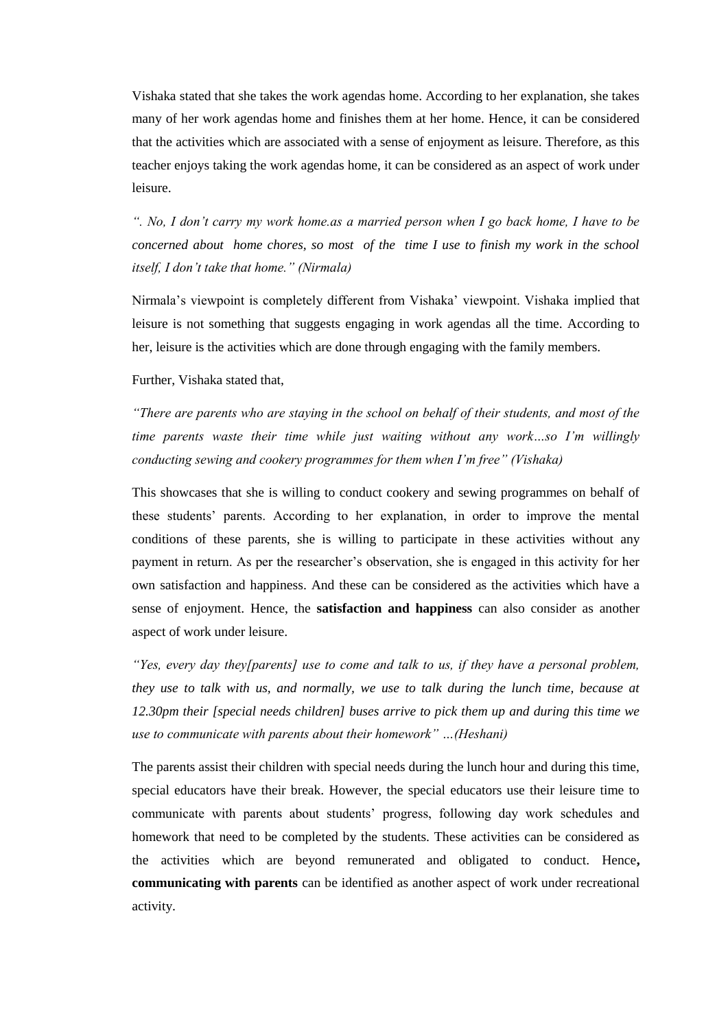Vishaka stated that she takes the work agendas home. According to her explanation, she takes many of her work agendas home and finishes them at her home. Hence, it can be considered that the activities which are associated with a sense of enjoyment as leisure. Therefore, as this teacher enjoys taking the work agendas home, it can be considered as an aspect of work under leisure.

*". No, I don't carry my work home.as a married person when I go back home, I have to be concerned about home chores, so most of the time I use to finish my work in the school itself, I don't take that home." (Nirmala)*

Nirmala's viewpoint is completely different from Vishaka' viewpoint. Vishaka implied that leisure is not something that suggests engaging in work agendas all the time. According to her, leisure is the activities which are done through engaging with the family members.

Further, Vishaka stated that,

*"There are parents who are staying in the school on behalf of their students, and most of the time parents waste their time while just waiting without any work…so I'm willingly conducting sewing and cookery programmes for them when I'm free" (Vishaka)*

This showcases that she is willing to conduct cookery and sewing programmes on behalf of these students' parents. According to her explanation, in order to improve the mental conditions of these parents, she is willing to participate in these activities without any payment in return. As per the researcher's observation, she is engaged in this activity for her own satisfaction and happiness. And these can be considered as the activities which have a sense of enjoyment. Hence, the **satisfaction and happiness** can also consider as another aspect of work under leisure.

*"Yes, every day they[parents] use to come and talk to us, if they have a personal problem, they use to talk with us, and normally, we use to talk during the lunch time, because at 12.30pm their [special needs children] buses arrive to pick them up and during this time we use to communicate with parents about their homework" …(Heshani)*

The parents assist their children with special needs during the lunch hour and during this time, special educators have their break. However, the special educators use their leisure time to communicate with parents about students' progress, following day work schedules and homework that need to be completed by the students. These activities can be considered as the activities which are beyond remunerated and obligated to conduct. Hence**, communicating with parents** can be identified as another aspect of work under recreational activity.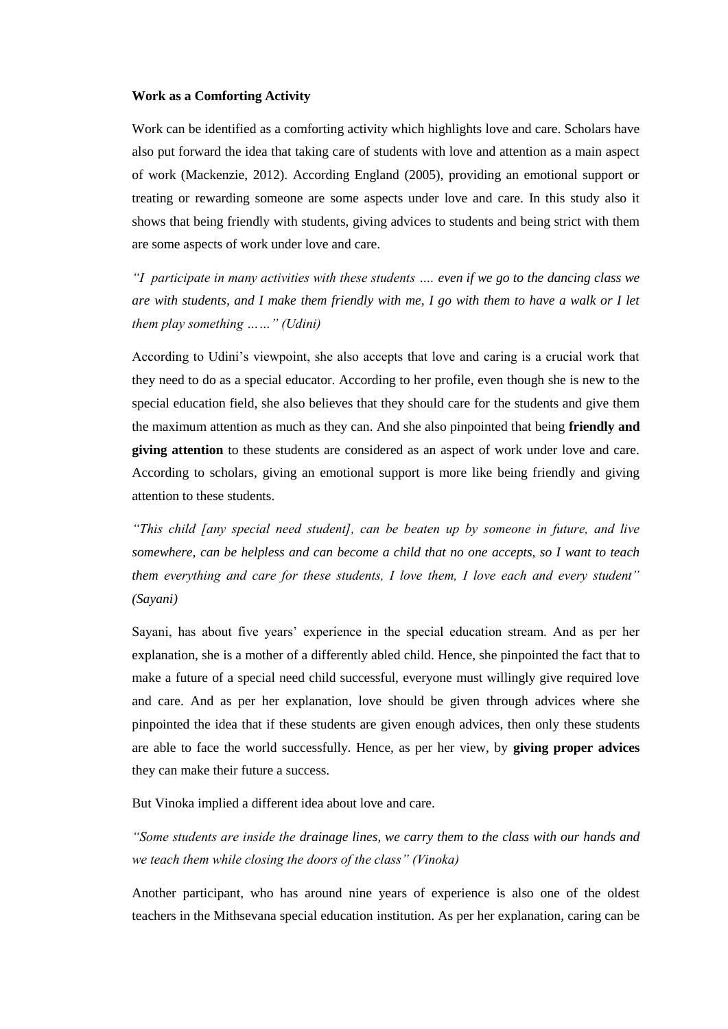#### **Work as a Comforting Activity**

Work can be identified as a comforting activity which highlights love and care. Scholars have also put forward the idea that taking care of students with love and attention as a main aspect of work (Mackenzie, 2012). According England (2005), providing an emotional support or treating or rewarding someone are some aspects under love and care. In this study also it shows that being friendly with students, giving advices to students and being strict with them are some aspects of work under love and care.

*"I participate in many activities with these students …. even if we go to the dancing class we are with students, and I make them friendly with me, I go with them to have a walk or I let them play something ……" (Udini)*

According to Udini's viewpoint, she also accepts that love and caring is a crucial work that they need to do as a special educator. According to her profile, even though she is new to the special education field, she also believes that they should care for the students and give them the maximum attention as much as they can. And she also pinpointed that being **friendly and giving attention** to these students are considered as an aspect of work under love and care. According to scholars, giving an emotional support is more like being friendly and giving attention to these students.

*"This child [any special need student], can be beaten up by someone in future, and live somewhere, can be helpless and can become a child that no one accepts, so I want to teach them everything and care for these students, I love them, I love each and every student" (Sayani)*

Sayani, has about five years' experience in the special education stream. And as per her explanation, she is a mother of a differently abled child. Hence, she pinpointed the fact that to make a future of a special need child successful, everyone must willingly give required love and care. And as per her explanation, love should be given through advices where she pinpointed the idea that if these students are given enough advices, then only these students are able to face the world successfully. Hence, as per her view, by **giving proper advices**  they can make their future a success.

But Vinoka implied a different idea about love and care.

*"Some students are inside the drainage lines, we carry them to the class with our hands and we teach them while closing the doors of the class" (Vinoka)* 

Another participant, who has around nine years of experience is also one of the oldest teachers in the Mithsevana special education institution. As per her explanation, caring can be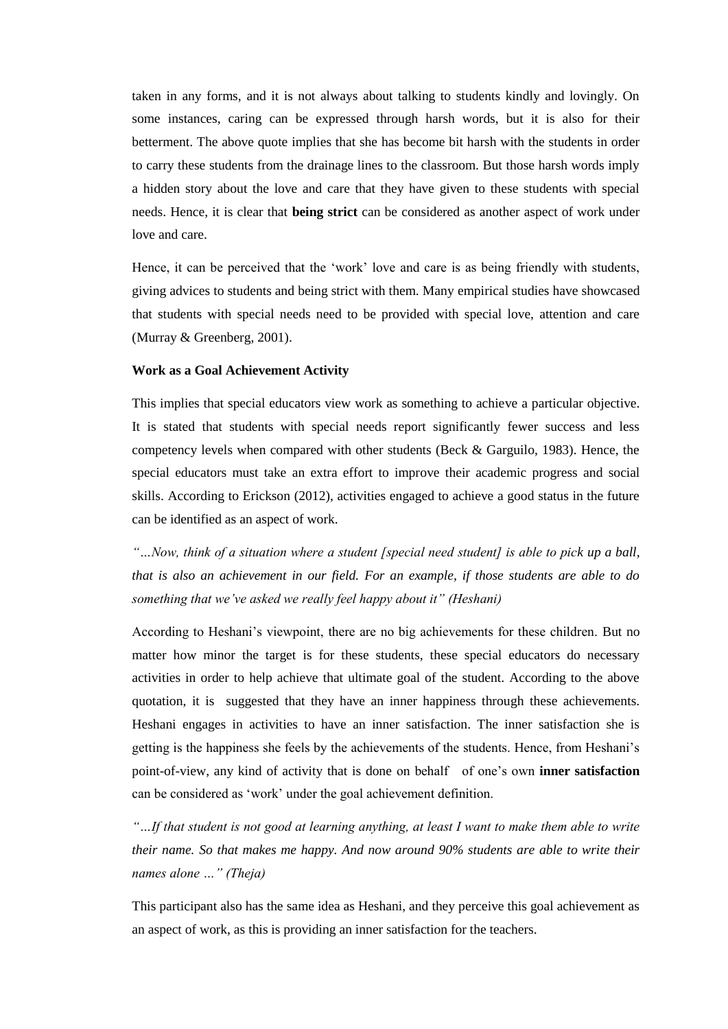taken in any forms, and it is not always about talking to students kindly and lovingly. On some instances, caring can be expressed through harsh words, but it is also for their betterment. The above quote implies that she has become bit harsh with the students in order to carry these students from the drainage lines to the classroom. But those harsh words imply a hidden story about the love and care that they have given to these students with special needs. Hence, it is clear that **being strict** can be considered as another aspect of work under love and care.

Hence, it can be perceived that the 'work' love and care is as being friendly with students, giving advices to students and being strict with them. Many empirical studies have showcased that students with special needs need to be provided with special love, attention and care (Murray & Greenberg, 2001).

#### **Work as a Goal Achievement Activity**

This implies that special educators view work as something to achieve a particular objective. It is stated that students with special needs report significantly fewer success and less competency levels when compared with other students (Beck & Garguilo, 1983). Hence, the special educators must take an extra effort to improve their academic progress and social skills. According to Erickson (2012), activities engaged to achieve a good status in the future can be identified as an aspect of work.

*"…Now, think of a situation where a student [special need student] is able to pick up a ball, that is also an achievement in our field. For an example, if those students are able to do something that we've asked we really feel happy about it" (Heshani)*

According to Heshani's viewpoint, there are no big achievements for these children. But no matter how minor the target is for these students, these special educators do necessary activities in order to help achieve that ultimate goal of the student. According to the above quotation, it is suggested that they have an inner happiness through these achievements. Heshani engages in activities to have an inner satisfaction. The inner satisfaction she is getting is the happiness she feels by the achievements of the students. Hence, from Heshani's point-of-view, any kind of activity that is done on behalf of one's own **inner satisfaction** can be considered as 'work' under the goal achievement definition.

*"…If that student is not good at learning anything, at least I want to make them able to write their name. So that makes me happy. And now around 90% students are able to write their names alone …" (Theja)*

This participant also has the same idea as Heshani, and they perceive this goal achievement as an aspect of work, as this is providing an inner satisfaction for the teachers.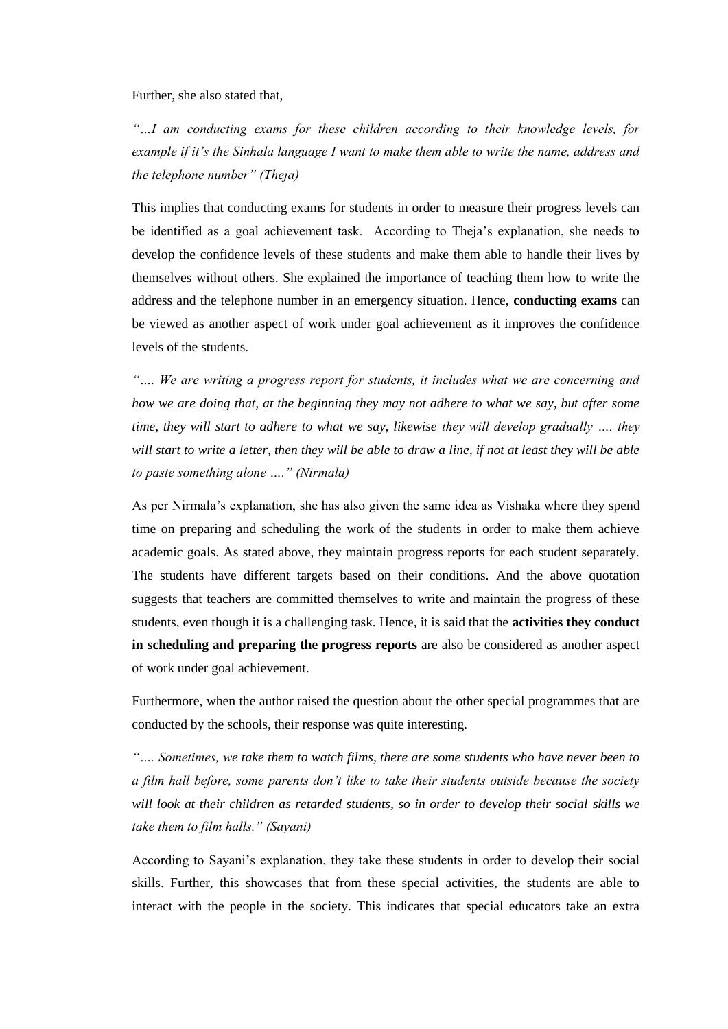Further, she also stated that,

*"…I am conducting exams for these children according to their knowledge levels, for example if it's the Sinhala language I want to make them able to write the name, address and the telephone number" (Theja)*

This implies that conducting exams for students in order to measure their progress levels can be identified as a goal achievement task. According to Theja's explanation, she needs to develop the confidence levels of these students and make them able to handle their lives by themselves without others. She explained the importance of teaching them how to write the address and the telephone number in an emergency situation. Hence, **conducting exams** can be viewed as another aspect of work under goal achievement as it improves the confidence levels of the students.

*"…. We are writing a progress report for students, it includes what we are concerning and how we are doing that, at the beginning they may not adhere to what we say, but after some time, they will start to adhere to what we say, likewise they will develop gradually …. they will start to write a letter, then they will be able to draw a line, if not at least they will be able to paste something alone …." (Nirmala)*

As per Nirmala's explanation, she has also given the same idea as Vishaka where they spend time on preparing and scheduling the work of the students in order to make them achieve academic goals. As stated above, they maintain progress reports for each student separately. The students have different targets based on their conditions. And the above quotation suggests that teachers are committed themselves to write and maintain the progress of these students, even though it is a challenging task. Hence, it is said that the **activities they conduct in scheduling and preparing the progress reports** are also be considered as another aspect of work under goal achievement.

Furthermore, when the author raised the question about the other special programmes that are conducted by the schools, their response was quite interesting.

*"…. Sometimes, we take them to watch films, there are some students who have never been to a film hall before, some parents don't like to take their students outside because the society will look at their children as retarded students, so in order to develop their social skills we take them to film halls." (Sayani)*

According to Sayani's explanation, they take these students in order to develop their social skills. Further, this showcases that from these special activities, the students are able to interact with the people in the society. This indicates that special educators take an extra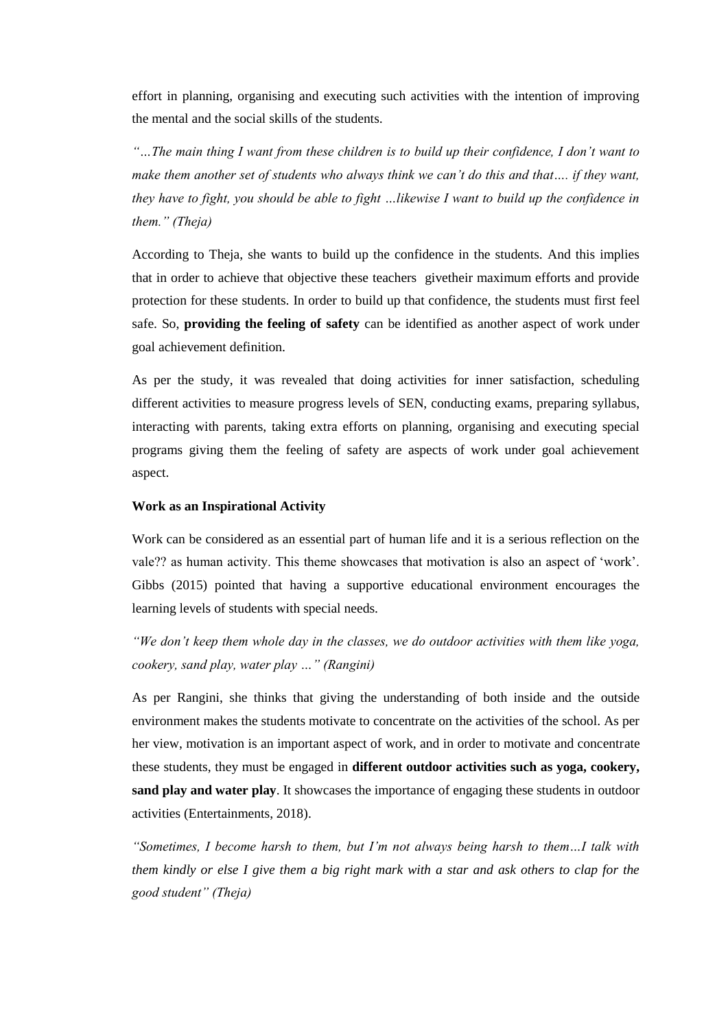effort in planning, organising and executing such activities with the intention of improving the mental and the social skills of the students.

*"…The main thing I want from these children is to build up their confidence, I don't want to make them another set of students who always think we can't do this and that…. if they want, they have to fight, you should be able to fight …likewise I want to build up the confidence in them." (Theja)*

According to Theja, she wants to build up the confidence in the students. And this implies that in order to achieve that objective these teachers givetheir maximum efforts and provide protection for these students. In order to build up that confidence, the students must first feel safe. So, **providing the feeling of safety** can be identified as another aspect of work under goal achievement definition.

As per the study, it was revealed that doing activities for inner satisfaction, scheduling different activities to measure progress levels of SEN, conducting exams, preparing syllabus, interacting with parents, taking extra efforts on planning, organising and executing special programs giving them the feeling of safety are aspects of work under goal achievement aspect.

#### **Work as an Inspirational Activity**

Work can be considered as an essential part of human life and it is a serious reflection on the vale?? as human activity. This theme showcases that motivation is also an aspect of 'work'. Gibbs (2015) pointed that having a supportive educational environment encourages the learning levels of students with special needs.

*"We don't keep them whole day in the classes, we do outdoor activities with them like yoga, cookery, sand play, water play …" (Rangini)*

As per Rangini, she thinks that giving the understanding of both inside and the outside environment makes the students motivate to concentrate on the activities of the school. As per her view, motivation is an important aspect of work, and in order to motivate and concentrate these students, they must be engaged in **different outdoor activities such as yoga, cookery, sand play and water play**. It showcases the importance of engaging these students in outdoor activities (Entertainments, 2018).

*"Sometimes, I become harsh to them, but I'm not always being harsh to them…I talk with them kindly or else I give them a big right mark with a star and ask others to clap for the good student" (Theja)*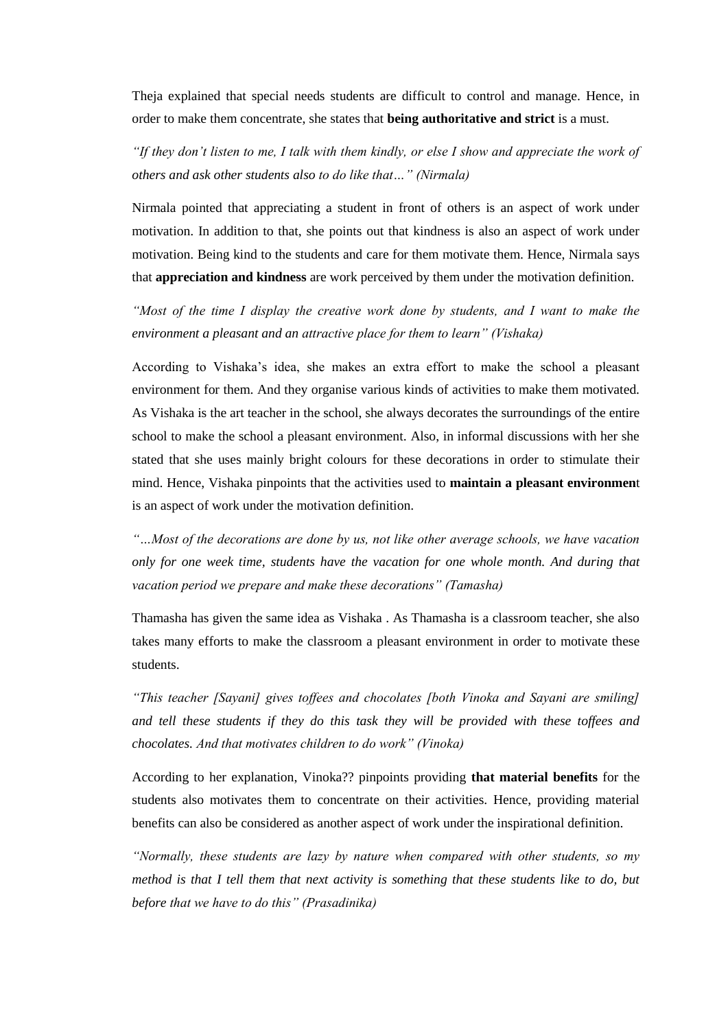Theja explained that special needs students are difficult to control and manage. Hence, in order to make them concentrate, she states that **being authoritative and strict** is a must.

*"If they don't listen to me, I talk with them kindly, or else I show and appreciate the work of others and ask other students also to do like that…" (Nirmala)*

Nirmala pointed that appreciating a student in front of others is an aspect of work under motivation. In addition to that, she points out that kindness is also an aspect of work under motivation. Being kind to the students and care for them motivate them. Hence, Nirmala says that **appreciation and kindness** are work perceived by them under the motivation definition.

*"Most of the time I display the creative work done by students, and I want to make the environment a pleasant and an attractive place for them to learn" (Vishaka)*

According to Vishaka's idea, she makes an extra effort to make the school a pleasant environment for them. And they organise various kinds of activities to make them motivated. As Vishaka is the art teacher in the school, she always decorates the surroundings of the entire school to make the school a pleasant environment. Also, in informal discussions with her she stated that she uses mainly bright colours for these decorations in order to stimulate their mind. Hence, Vishaka pinpoints that the activities used to **maintain a pleasant environmen**t is an aspect of work under the motivation definition.

*"…Most of the decorations are done by us, not like other average schools, we have vacation only for one week time, students have the vacation for one whole month. And during that vacation period we prepare and make these decorations" (Tamasha)*

Thamasha has given the same idea as Vishaka . As Thamasha is a classroom teacher, she also takes many efforts to make the classroom a pleasant environment in order to motivate these students.

*"This teacher [Sayani] gives toffees and chocolates [both Vinoka and Sayani are smiling] and tell these students if they do this task they will be provided with these toffees and chocolates. And that motivates children to do work" (Vinoka)*

According to her explanation, Vinoka?? pinpoints providing **that material benefits** for the students also motivates them to concentrate on their activities. Hence, providing material benefits can also be considered as another aspect of work under the inspirational definition.

*"Normally, these students are lazy by nature when compared with other students, so my method is that I tell them that next activity is something that these students like to do, but before that we have to do this" (Prasadinika)*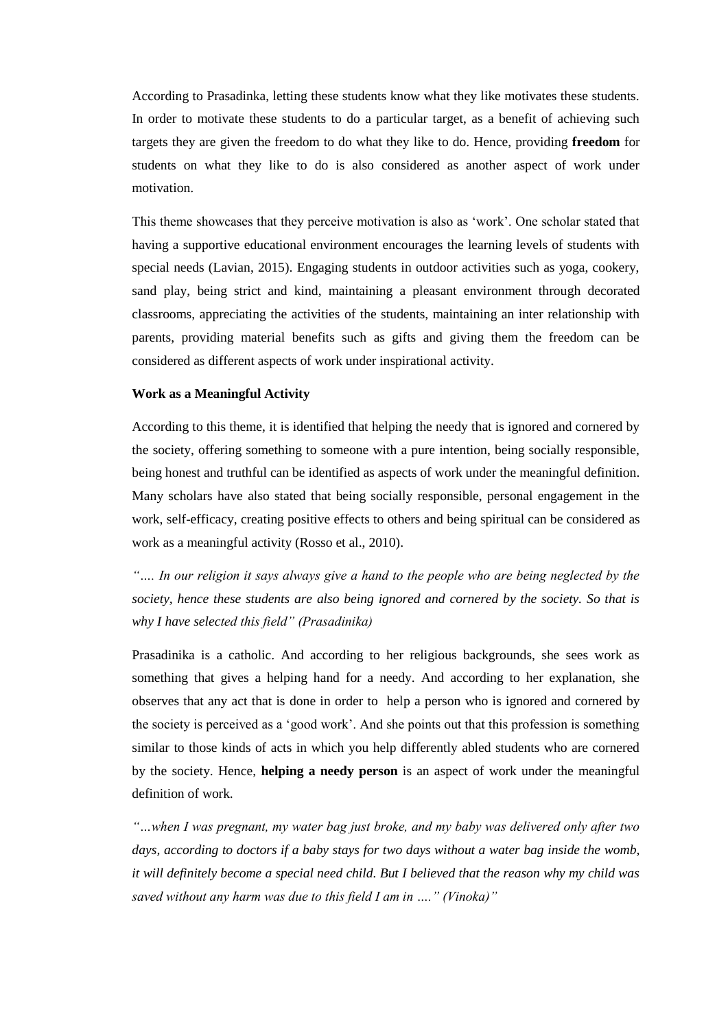According to Prasadinka, letting these students know what they like motivates these students. In order to motivate these students to do a particular target, as a benefit of achieving such targets they are given the freedom to do what they like to do. Hence, providing **freedom** for students on what they like to do is also considered as another aspect of work under motivation.

This theme showcases that they perceive motivation is also as 'work'. One scholar stated that having a supportive educational environment encourages the learning levels of students with special needs (Lavian, 2015). Engaging students in outdoor activities such as yoga, cookery, sand play, being strict and kind, maintaining a pleasant environment through decorated classrooms, appreciating the activities of the students, maintaining an inter relationship with parents, providing material benefits such as gifts and giving them the freedom can be considered as different aspects of work under inspirational activity.

#### **Work as a Meaningful Activity**

According to this theme, it is identified that helping the needy that is ignored and cornered by the society, offering something to someone with a pure intention, being socially responsible, being honest and truthful can be identified as aspects of work under the meaningful definition. Many scholars have also stated that being socially responsible, personal engagement in the work, self-efficacy, creating positive effects to others and being spiritual can be considered as work as a meaningful activity (Rosso et al., 2010).

*"…. In our religion it says always give a hand to the people who are being neglected by the society, hence these students are also being ignored and cornered by the society. So that is why I have selected this field" (Prasadinika)*

Prasadinika is a catholic. And according to her religious backgrounds, she sees work as something that gives a helping hand for a needy. And according to her explanation, she observes that any act that is done in order to help a person who is ignored and cornered by the society is perceived as a 'good work'. And she points out that this profession is something similar to those kinds of acts in which you help differently abled students who are cornered by the society. Hence, **helping a needy person** is an aspect of work under the meaningful definition of work.

*"…when I was pregnant, my water bag just broke, and my baby was delivered only after two days, according to doctors if a baby stays for two days without a water bag inside the womb, it will definitely become a special need child. But I believed that the reason why my child was saved without any harm was due to this field I am in …." (Vinoka)"*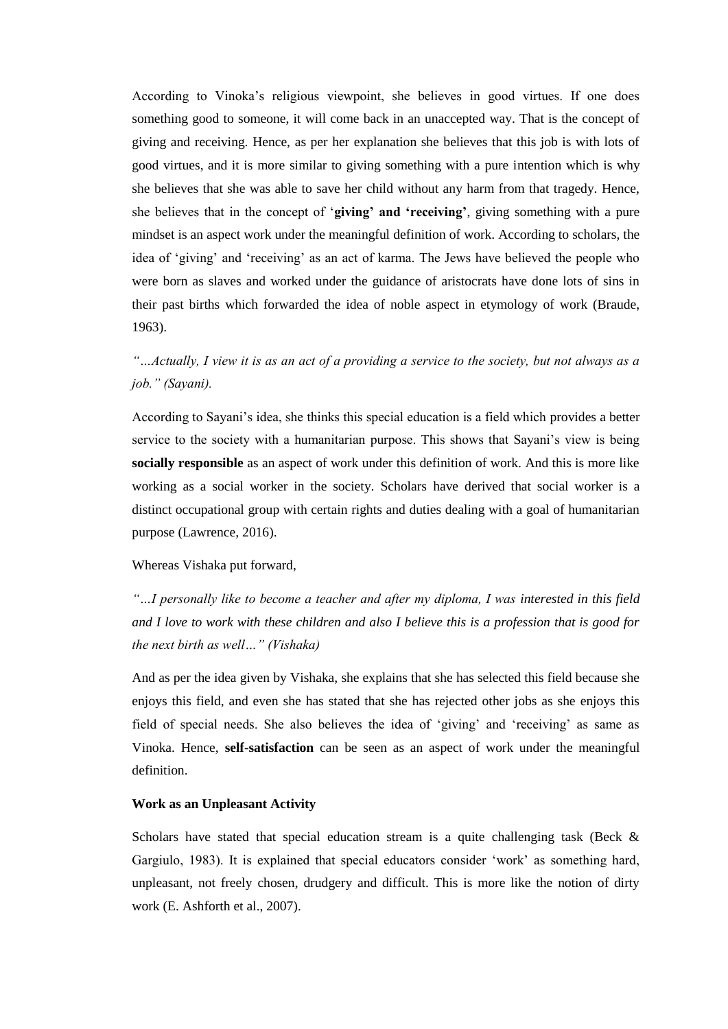According to Vinoka's religious viewpoint, she believes in good virtues. If one does something good to someone, it will come back in an unaccepted way. That is the concept of giving and receiving. Hence, as per her explanation she believes that this job is with lots of good virtues, and it is more similar to giving something with a pure intention which is why she believes that she was able to save her child without any harm from that tragedy. Hence, she believes that in the concept of '**giving' and 'receiving'**, giving something with a pure mindset is an aspect work under the meaningful definition of work. According to scholars, the idea of 'giving' and 'receiving' as an act of karma. The Jews have believed the people who were born as slaves and worked under the guidance of aristocrats have done lots of sins in their past births which forwarded the idea of noble aspect in etymology of work (Braude, 1963).

## *"…Actually, I view it is as an act of a providing a service to the society, but not always as a job." (Sayani).*

According to Sayani's idea, she thinks this special education is a field which provides a better service to the society with a humanitarian purpose. This shows that Sayani's view is being **socially responsible** as an aspect of work under this definition of work. And this is more like working as a social worker in the society. Scholars have derived that social worker is a distinct occupational group with certain rights and duties dealing with a goal of humanitarian purpose (Lawrence, 2016).

#### Whereas Vishaka put forward,

*"…I personally like to become a teacher and after my diploma, I was interested in this field and I love to work with these children and also I believe this is a profession that is good for the next birth as well…" (Vishaka)* 

And as per the idea given by Vishaka, she explains that she has selected this field because she enjoys this field, and even she has stated that she has rejected other jobs as she enjoys this field of special needs. She also believes the idea of 'giving' and 'receiving' as same as Vinoka. Hence, **self-satisfaction** can be seen as an aspect of work under the meaningful definition.

#### **Work as an Unpleasant Activity**

Scholars have stated that special education stream is a quite challenging task (Beck  $\&$ Gargiulo, 1983). It is explained that special educators consider 'work' as something hard, unpleasant, not freely chosen, drudgery and difficult. This is more like the notion of dirty work (E. Ashforth et al., 2007).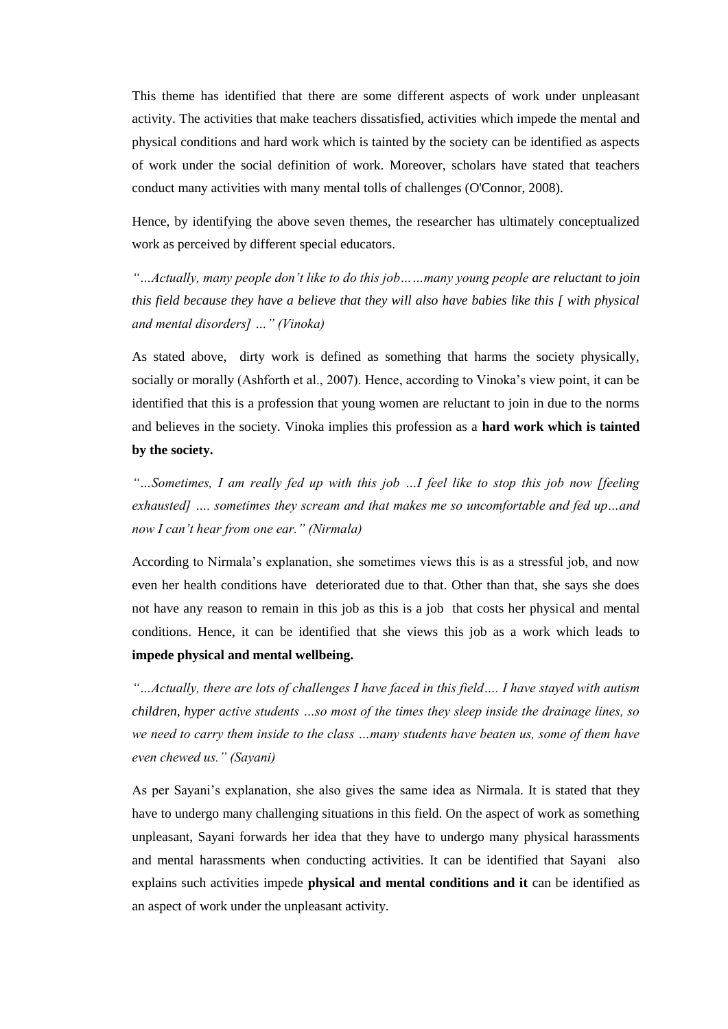This theme has identified that there are some different aspects of work under unpleasant activity. The activities that make teachers dissatisfied, activities which impede the mental and physical conditions and hard work which is tainted by the society can be identified as aspects of work under the social definition of work. Moreover, scholars have stated that teachers conduct many activities with many mental tolls of challenges (O'Connor, 2008).

Hence, by identifying the above seven themes, the researcher has ultimately conceptualized work as perceived by different special educators.

*"…Actually, many people don't like to do this job……many young people are reluctant to join this field because they have a believe that they will also have babies like this [ with physical and mental disorders] …" (Vinoka)*

As stated above, dirty work is defined as something that harms the society physically, socially or morally (Ashforth et al., 2007). Hence, according to Vinoka's view point, it can be identified that this is a profession that young women are reluctant to join in due to the norms and believes in the society. Vinoka implies this profession as a **hard work which is tainted by the society.**

*"…Sometimes, I am really fed up with this job …I feel like to stop this job now [feeling exhausted] …. sometimes they scream and that makes me so uncomfortable and fed up…and now I can't hear from one ear." (Nirmala)*

According to Nirmala's explanation, she sometimes views this is as a stressful job, and now even her health conditions have deteriorated due to that. Other than that, she says she does not have any reason to remain in this job as this is a job that costs her physical and mental conditions. Hence, it can be identified that she views this job as a work which leads to **impede physical and mental wellbeing.** 

*"…Actually, there are lots of challenges I have faced in this field…. I have stayed with autism children, hyper active students …so most of the times they sleep inside the drainage lines, so we need to carry them inside to the class …many students have beaten us, some of them have even chewed us." (Sayani)*

As per Sayani's explanation, she also gives the same idea as Nirmala. It is stated that they have to undergo many challenging situations in this field. On the aspect of work as something unpleasant, Sayani forwards her idea that they have to undergo many physical harassments and mental harassments when conducting activities. It can be identified that Sayani also explains such activities impede **physical and mental conditions and it** can be identified as an aspect of work under the unpleasant activity.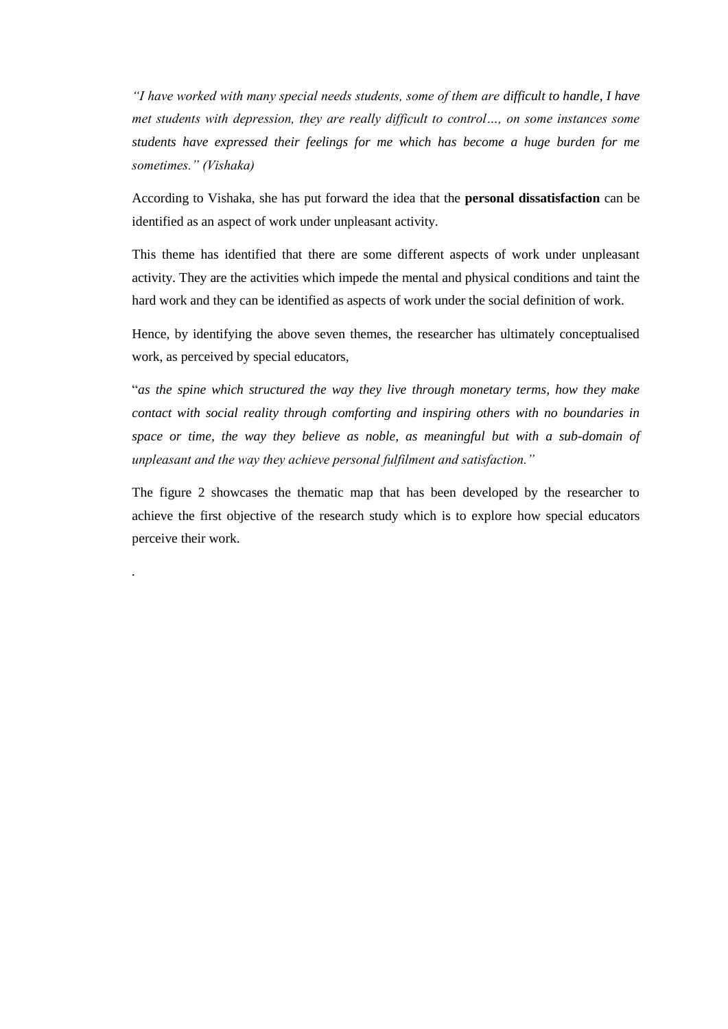*"I have worked with many special needs students, some of them are difficult to handle, I have met students with depression, they are really difficult to control…, on some instances some students have expressed their feelings for me which has become a huge burden for me sometimes." (Vishaka)*

According to Vishaka, she has put forward the idea that the **personal dissatisfaction** can be identified as an aspect of work under unpleasant activity.

This theme has identified that there are some different aspects of work under unpleasant activity. They are the activities which impede the mental and physical conditions and taint the hard work and they can be identified as aspects of work under the social definition of work.

Hence, by identifying the above seven themes, the researcher has ultimately conceptualised work, as perceived by special educators,

"*as the spine which structured the way they live through monetary terms, how they make contact with social reality through comforting and inspiring others with no boundaries in space or time, the way they believe as noble, as meaningful but with a sub-domain of unpleasant and the way they achieve personal fulfilment and satisfaction."*

The figure 2 showcases the thematic map that has been developed by the researcher to achieve the first objective of the research study which is to explore how special educators perceive their work.

*.*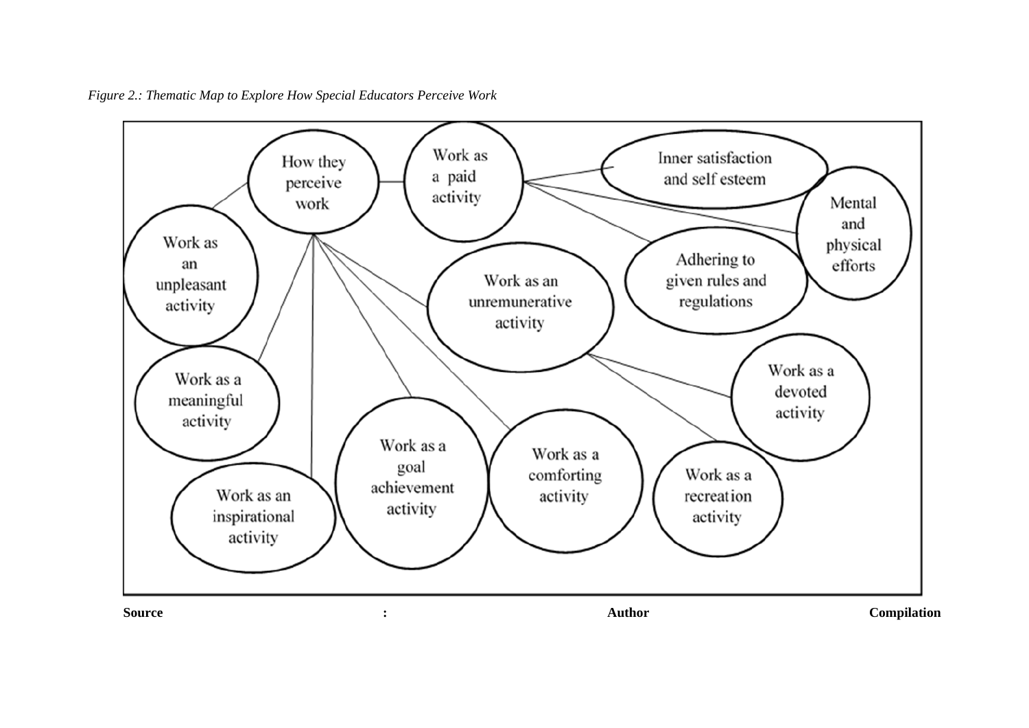

*Figure 2.: Thematic Map to Explore How Special Educators Perceive Work*

**Source : Author Compilation**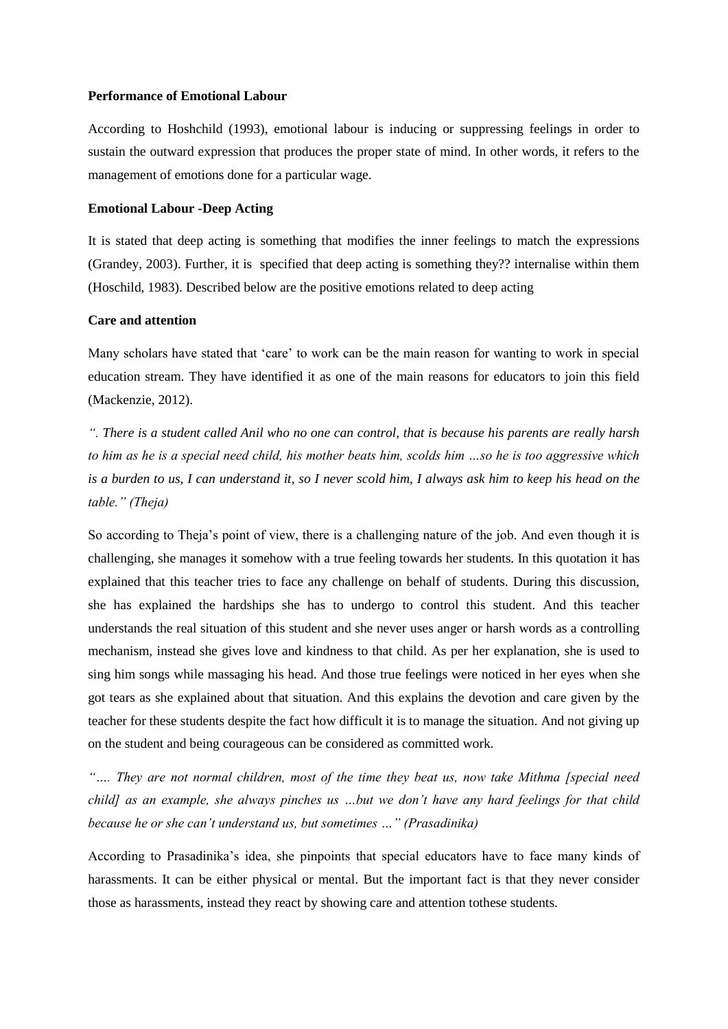#### **Performance of Emotional Labour**

According to Hoshchild (1993), emotional labour is inducing or suppressing feelings in order to sustain the outward expression that produces the proper state of mind. In other words, it refers to the management of emotions done for a particular wage.

#### **Emotional Labour -Deep Acting**

It is stated that deep acting is something that modifies the inner feelings to match the expressions (Grandey, 2003). Further, it is specified that deep acting is something they?? internalise within them (Hoschild, 1983). Described below are the positive emotions related to deep acting

## **Care and attention**

Many scholars have stated that 'care' to work can be the main reason for wanting to work in special education stream. They have identified it as one of the main reasons for educators to join this field (Mackenzie, 2012).

*". There is a student called Anil who no one can control, that is because his parents are really harsh to him as he is a special need child, his mother beats him, scolds him …so he is too aggressive which is a burden to us, I can understand it, so I never scold him, I always ask him to keep his head on the table." (Theja)*

So according to Theja's point of view, there is a challenging nature of the job. And even though it is challenging, she manages it somehow with a true feeling towards her students. In this quotation it has explained that this teacher tries to face any challenge on behalf of students. During this discussion, she has explained the hardships she has to undergo to control this student. And this teacher understands the real situation of this student and she never uses anger or harsh words as a controlling mechanism, instead she gives love and kindness to that child. As per her explanation, she is used to sing him songs while massaging his head. And those true feelings were noticed in her eyes when she got tears as she explained about that situation. And this explains the devotion and care given by the teacher for these students despite the fact how difficult it is to manage the situation. And not giving up on the student and being courageous can be considered as committed work.

*"…. They are not normal children, most of the time they beat us, now take Mithma [special need child] as an example, she always pinches us …but we don't have any hard feelings for that child because he or she can't understand us, but sometimes …" (Prasadinika)*

According to Prasadinika's idea, she pinpoints that special educators have to face many kinds of harassments. It can be either physical or mental. But the important fact is that they never consider those as harassments, instead they react by showing care and attention tothese students.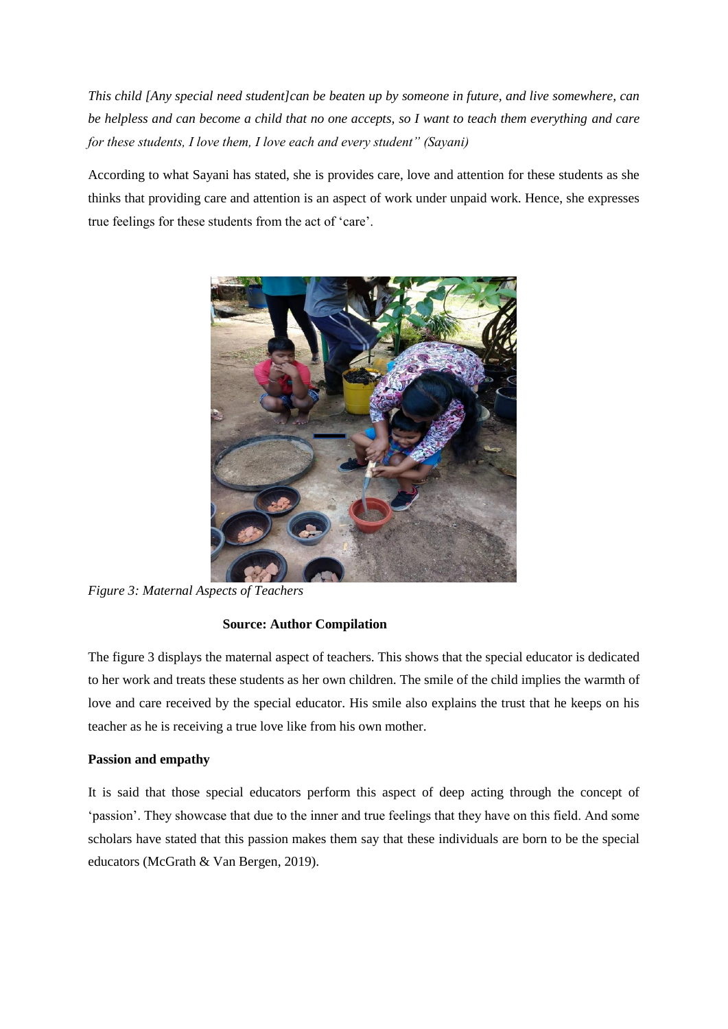*This child [Any special need student]can be beaten up by someone in future, and live somewhere, can be helpless and can become a child that no one accepts, so I want to teach them everything and care for these students, I love them, I love each and every student" (Sayani)*

According to what Sayani has stated, she is provides care, love and attention for these students as she thinks that providing care and attention is an aspect of work under unpaid work. Hence, she expresses true feelings for these students from the act of 'care'.



*Figure 3: Maternal Aspects of Teachers*

## **Source: Author Compilation**

The figure 3 displays the maternal aspect of teachers. This shows that the special educator is dedicated to her work and treats these students as her own children. The smile of the child implies the warmth of love and care received by the special educator. His smile also explains the trust that he keeps on his teacher as he is receiving a true love like from his own mother.

## **Passion and empathy**

It is said that those special educators perform this aspect of deep acting through the concept of 'passion'. They showcase that due to the inner and true feelings that they have on this field. And some scholars have stated that this passion makes them say that these individuals are born to be the special educators (McGrath & Van Bergen, 2019).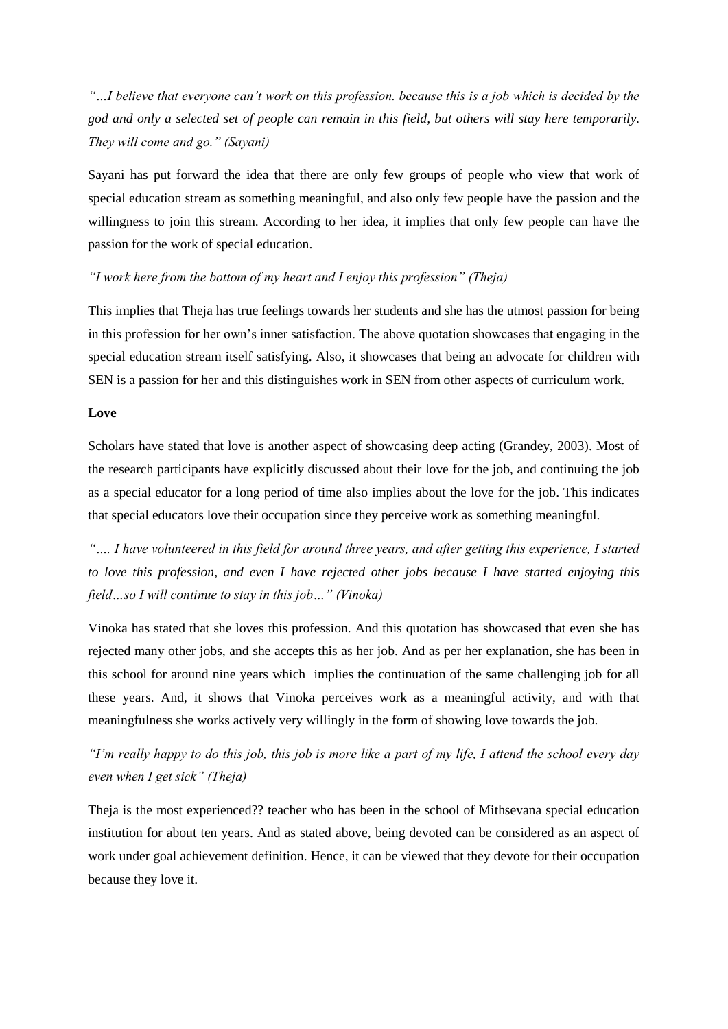*"…I believe that everyone can't work on this profession. because this is a job which is decided by the god and only a selected set of people can remain in this field, but others will stay here temporarily. They will come and go." (Sayani)*

Sayani has put forward the idea that there are only few groups of people who view that work of special education stream as something meaningful, and also only few people have the passion and the willingness to join this stream. According to her idea, it implies that only few people can have the passion for the work of special education.

## *"I work here from the bottom of my heart and I enjoy this profession" (Theja)*

This implies that Theja has true feelings towards her students and she has the utmost passion for being in this profession for her own's inner satisfaction. The above quotation showcases that engaging in the special education stream itself satisfying. Also, it showcases that being an advocate for children with SEN is a passion for her and this distinguishes work in SEN from other aspects of curriculum work.

#### **Love**

Scholars have stated that love is another aspect of showcasing deep acting (Grandey, 2003). Most of the research participants have explicitly discussed about their love for the job, and continuing the job as a special educator for a long period of time also implies about the love for the job. This indicates that special educators love their occupation since they perceive work as something meaningful.

*"…. I have volunteered in this field for around three years, and after getting this experience, I started to love this profession, and even I have rejected other jobs because I have started enjoying this field…so I will continue to stay in this job…" (Vinoka)*

Vinoka has stated that she loves this profession. And this quotation has showcased that even she has rejected many other jobs, and she accepts this as her job. And as per her explanation, she has been in this school for around nine years which implies the continuation of the same challenging job for all these years. And, it shows that Vinoka perceives work as a meaningful activity, and with that meaningfulness she works actively very willingly in the form of showing love towards the job.

*"I'm really happy to do this job, this job is more like a part of my life, I attend the school every day even when I get sick" (Theja)*

Theja is the most experienced?? teacher who has been in the school of Mithsevana special education institution for about ten years. And as stated above, being devoted can be considered as an aspect of work under goal achievement definition. Hence, it can be viewed that they devote for their occupation because they love it.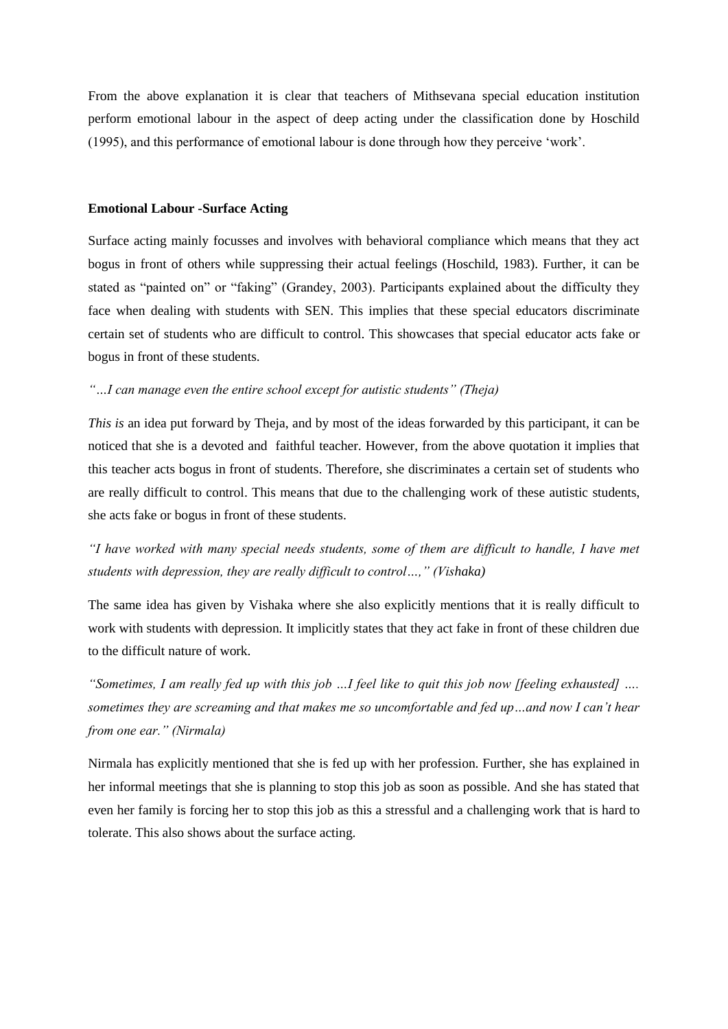From the above explanation it is clear that teachers of Mithsevana special education institution perform emotional labour in the aspect of deep acting under the classification done by Hoschild (1995), and this performance of emotional labour is done through how they perceive 'work'.

#### **Emotional Labour -Surface Acting**

Surface acting mainly focusses and involves with behavioral compliance which means that they act bogus in front of others while suppressing their actual feelings (Hoschild, 1983). Further, it can be stated as "painted on" or "faking" (Grandey, 2003). Participants explained about the difficulty they face when dealing with students with SEN. This implies that these special educators discriminate certain set of students who are difficult to control. This showcases that special educator acts fake or bogus in front of these students.

## *"…I can manage even the entire school except for autistic students" (Theja)*

*This is* an idea put forward by Theja, and by most of the ideas forwarded by this participant, it can be noticed that she is a devoted and faithful teacher. However, from the above quotation it implies that this teacher acts bogus in front of students. Therefore, she discriminates a certain set of students who are really difficult to control. This means that due to the challenging work of these autistic students, she acts fake or bogus in front of these students.

*"I have worked with many special needs students, some of them are difficult to handle, I have met students with depression, they are really difficult to control…," (Vishaka)*

The same idea has given by Vishaka where she also explicitly mentions that it is really difficult to work with students with depression. It implicitly states that they act fake in front of these children due to the difficult nature of work.

*"Sometimes, I am really fed up with this job …I feel like to quit this job now [feeling exhausted] …. sometimes they are screaming and that makes me so uncomfortable and fed up…and now I can't hear from one ear." (Nirmala)*

Nirmala has explicitly mentioned that she is fed up with her profession. Further, she has explained in her informal meetings that she is planning to stop this job as soon as possible. And she has stated that even her family is forcing her to stop this job as this a stressful and a challenging work that is hard to tolerate. This also shows about the surface acting.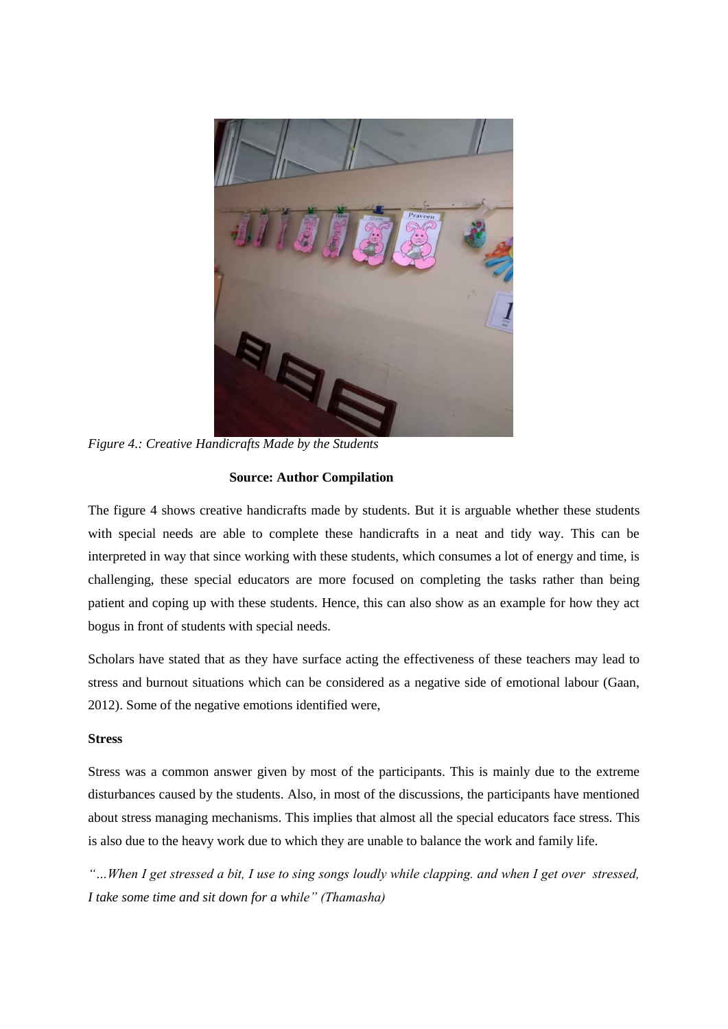

*Figure 4.: Creative Handicrafts Made by the Students*

## **Source: Author Compilation**

The figure 4 shows creative handicrafts made by students. But it is arguable whether these students with special needs are able to complete these handicrafts in a neat and tidy way. This can be interpreted in way that since working with these students, which consumes a lot of energy and time, is challenging, these special educators are more focused on completing the tasks rather than being patient and coping up with these students. Hence, this can also show as an example for how they act bogus in front of students with special needs.

Scholars have stated that as they have surface acting the effectiveness of these teachers may lead to stress and burnout situations which can be considered as a negative side of emotional labour (Gaan, 2012). Some of the negative emotions identified were,

## **Stress**

Stress was a common answer given by most of the participants. This is mainly due to the extreme disturbances caused by the students. Also, in most of the discussions, the participants have mentioned about stress managing mechanisms. This implies that almost all the special educators face stress. This is also due to the heavy work due to which they are unable to balance the work and family life.

*"…When I get stressed a bit, I use to sing songs loudly while clapping. and when I get over stressed, I take some time and sit down for a while" (Thamasha)*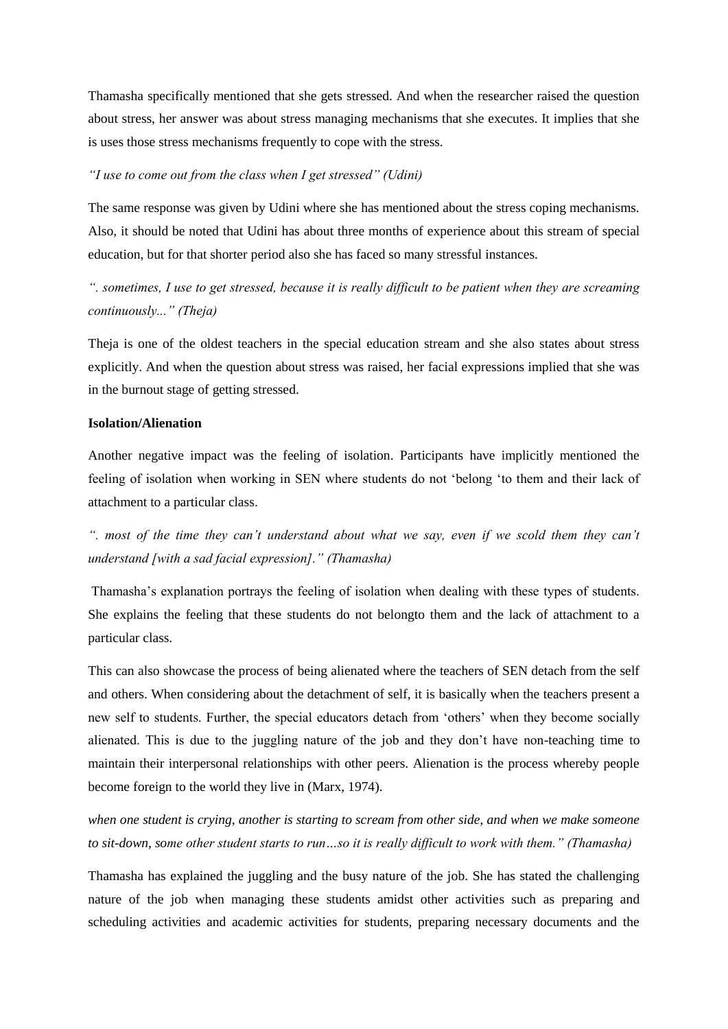Thamasha specifically mentioned that she gets stressed. And when the researcher raised the question about stress, her answer was about stress managing mechanisms that she executes. It implies that she is uses those stress mechanisms frequently to cope with the stress.

#### *"I use to come out from the class when I get stressed" (Udini)*

The same response was given by Udini where she has mentioned about the stress coping mechanisms. Also, it should be noted that Udini has about three months of experience about this stream of special education, but for that shorter period also she has faced so many stressful instances.

*". sometimes, I use to get stressed, because it is really difficult to be patient when they are screaming continuously..." (Theja)*

Theja is one of the oldest teachers in the special education stream and she also states about stress explicitly. And when the question about stress was raised, her facial expressions implied that she was in the burnout stage of getting stressed.

### **Isolation/Alienation**

Another negative impact was the feeling of isolation. Participants have implicitly mentioned the feeling of isolation when working in SEN where students do not 'belong 'to them and their lack of attachment to a particular class.

*". most of the time they can't understand about what we say, even if we scold them they can't understand [with a sad facial expression]." (Thamasha)*

Thamasha's explanation portrays the feeling of isolation when dealing with these types of students. She explains the feeling that these students do not belongto them and the lack of attachment to a particular class.

This can also showcase the process of being alienated where the teachers of SEN detach from the self and others. When considering about the detachment of self, it is basically when the teachers present a new self to students. Further, the special educators detach from 'others' when they become socially alienated. This is due to the juggling nature of the job and they don't have non-teaching time to maintain their interpersonal relationships with other peers. Alienation is the process whereby people become foreign to the world they live in (Marx, 1974).

*when one student is crying, another is starting to scream from other side, and when we make someone to sit-down, some other student starts to run…so it is really difficult to work with them." (Thamasha)*

Thamasha has explained the juggling and the busy nature of the job. She has stated the challenging nature of the job when managing these students amidst other activities such as preparing and scheduling activities and academic activities for students, preparing necessary documents and the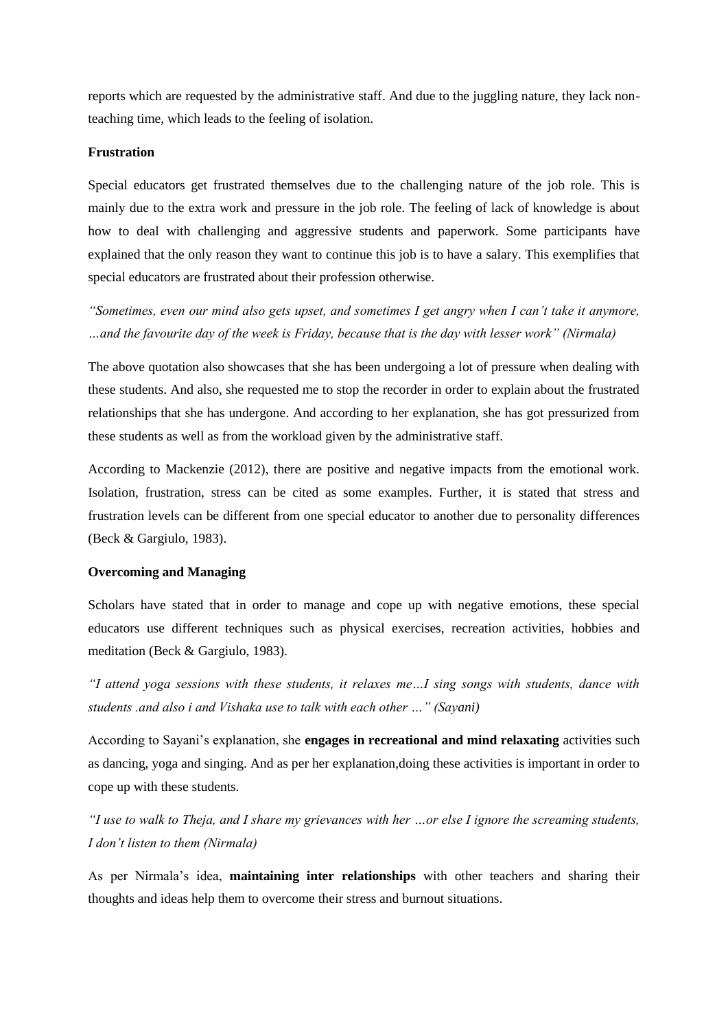reports which are requested by the administrative staff. And due to the juggling nature, they lack nonteaching time, which leads to the feeling of isolation.

#### **Frustration**

Special educators get frustrated themselves due to the challenging nature of the job role. This is mainly due to the extra work and pressure in the job role. The feeling of lack of knowledge is about how to deal with challenging and aggressive students and paperwork. Some participants have explained that the only reason they want to continue this job is to have a salary. This exemplifies that special educators are frustrated about their profession otherwise.

*"Sometimes, even our mind also gets upset, and sometimes I get angry when I can't take it anymore, …and the favourite day of the week is Friday, because that is the day with lesser work" (Nirmala)*

The above quotation also showcases that she has been undergoing a lot of pressure when dealing with these students. And also, she requested me to stop the recorder in order to explain about the frustrated relationships that she has undergone. And according to her explanation, she has got pressurized from these students as well as from the workload given by the administrative staff.

According to Mackenzie (2012), there are positive and negative impacts from the emotional work. Isolation, frustration, stress can be cited as some examples. Further, it is stated that stress and frustration levels can be different from one special educator to another due to personality differences (Beck & Gargiulo, 1983).

#### **Overcoming and Managing**

Scholars have stated that in order to manage and cope up with negative emotions, these special educators use different techniques such as physical exercises, recreation activities, hobbies and meditation (Beck & Gargiulo, 1983).

*"I attend yoga sessions with these students, it relaxes me…I sing songs with students, dance with students .and also i and Vishaka use to talk with each other …" (Sayani)*

According to Sayani's explanation, she **engages in recreational and mind relaxating** activities such as dancing, yoga and singing. And as per her explanation,doing these activities is important in order to cope up with these students.

*"I use to walk to Theja, and I share my grievances with her …or else I ignore the screaming students, I don't listen to them (Nirmala)*

As per Nirmala's idea, **maintaining inter relationships** with other teachers and sharing their thoughts and ideas help them to overcome their stress and burnout situations.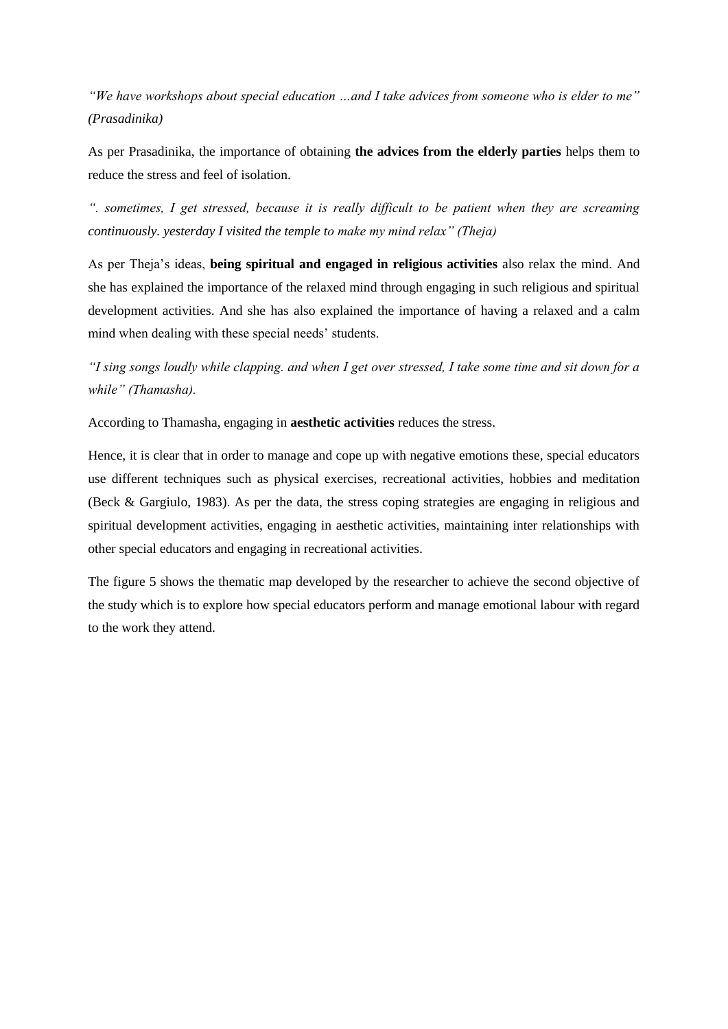*"We have workshops about special education …and I take advices from someone who is elder to me" (Prasadinika)*

As per Prasadinika, the importance of obtaining **the advices from the elderly parties** helps them to reduce the stress and feel of isolation.

*". sometimes, I get stressed, because it is really difficult to be patient when they are screaming continuously. yesterday I visited the temple to make my mind relax" (Theja)*

As per Theja's ideas, **being spiritual and engaged in religious activities** also relax the mind. And she has explained the importance of the relaxed mind through engaging in such religious and spiritual development activities. And she has also explained the importance of having a relaxed and a calm mind when dealing with these special needs' students.

*"I sing songs loudly while clapping. and when I get over stressed, I take some time and sit down for a while" (Thamasha).*

According to Thamasha, engaging in **aesthetic activities** reduces the stress.

Hence, it is clear that in order to manage and cope up with negative emotions these, special educators use different techniques such as physical exercises, recreational activities, hobbies and meditation (Beck & Gargiulo, 1983). As per the data, the stress coping strategies are engaging in religious and spiritual development activities, engaging in aesthetic activities, maintaining inter relationships with other special educators and engaging in recreational activities.

The figure 5 shows the thematic map developed by the researcher to achieve the second objective of the study which is to explore how special educators perform and manage emotional labour with regard to the work they attend.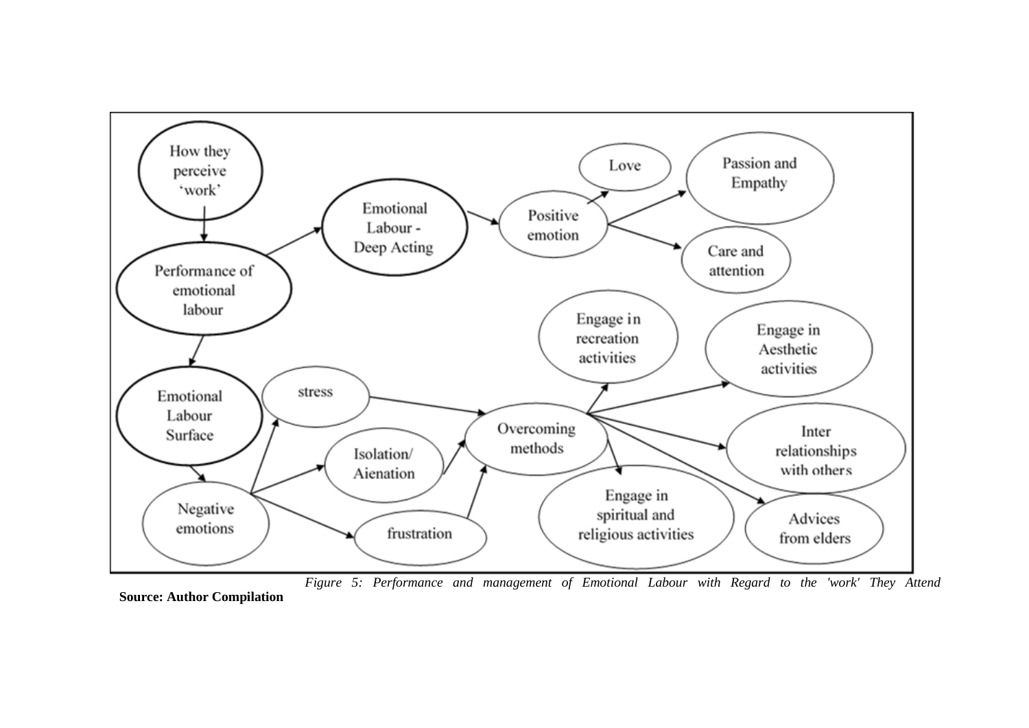

*Figure 5: Performance and management of Emotional Labour with Regard to the 'work' They Attend* **Source: Author Compilation**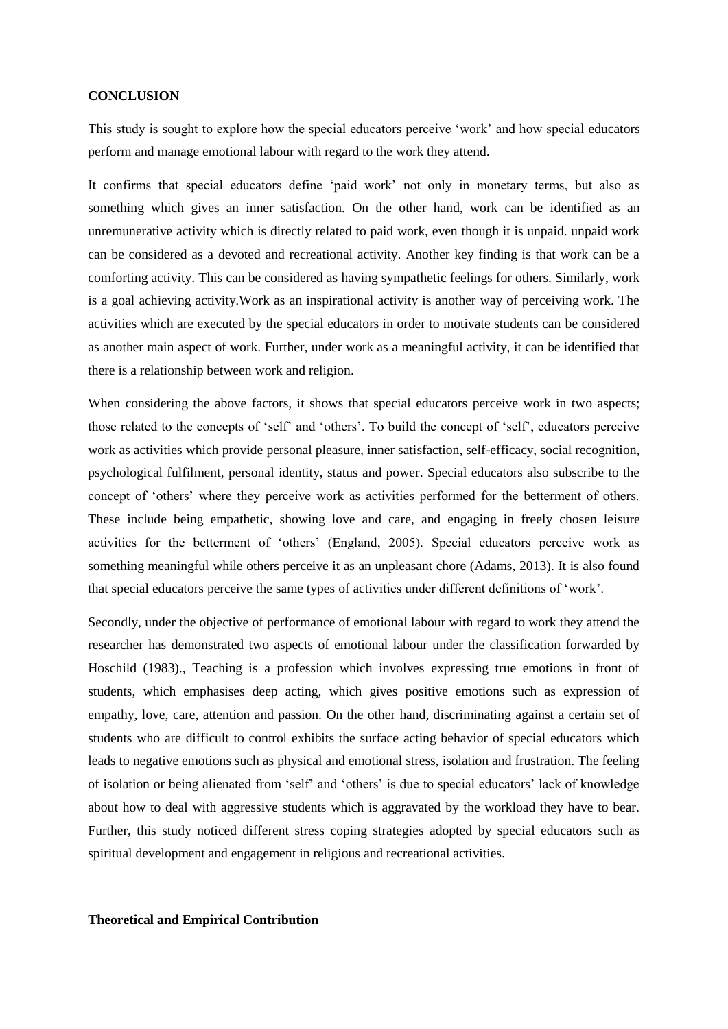#### **CONCLUSION**

This study is sought to explore how the special educators perceive 'work' and how special educators perform and manage emotional labour with regard to the work they attend.

It confirms that special educators define 'paid work' not only in monetary terms, but also as something which gives an inner satisfaction. On the other hand, work can be identified as an unremunerative activity which is directly related to paid work, even though it is unpaid. unpaid work can be considered as a devoted and recreational activity. Another key finding is that work can be a comforting activity. This can be considered as having sympathetic feelings for others. Similarly, work is a goal achieving activity.Work as an inspirational activity is another way of perceiving work. The activities which are executed by the special educators in order to motivate students can be considered as another main aspect of work. Further, under work as a meaningful activity, it can be identified that there is a relationship between work and religion.

When considering the above factors, it shows that special educators perceive work in two aspects; those related to the concepts of 'self' and 'others'. To build the concept of 'self', educators perceive work as activities which provide personal pleasure, inner satisfaction, self-efficacy, social recognition, psychological fulfilment, personal identity, status and power. Special educators also subscribe to the concept of 'others' where they perceive work as activities performed for the betterment of others. These include being empathetic, showing love and care, and engaging in freely chosen leisure activities for the betterment of 'others' (England, 2005). Special educators perceive work as something meaningful while others perceive it as an unpleasant chore (Adams, 2013). It is also found that special educators perceive the same types of activities under different definitions of 'work'.

Secondly, under the objective of performance of emotional labour with regard to work they attend the researcher has demonstrated two aspects of emotional labour under the classification forwarded by Hoschild (1983)., Teaching is a profession which involves expressing true emotions in front of students, which emphasises deep acting, which gives positive emotions such as expression of empathy, love, care, attention and passion. On the other hand, discriminating against a certain set of students who are difficult to control exhibits the surface acting behavior of special educators which leads to negative emotions such as physical and emotional stress, isolation and frustration. The feeling of isolation or being alienated from 'self' and 'others' is due to special educators' lack of knowledge about how to deal with aggressive students which is aggravated by the workload they have to bear. Further, this study noticed different stress coping strategies adopted by special educators such as spiritual development and engagement in religious and recreational activities.

## **Theoretical and Empirical Contribution**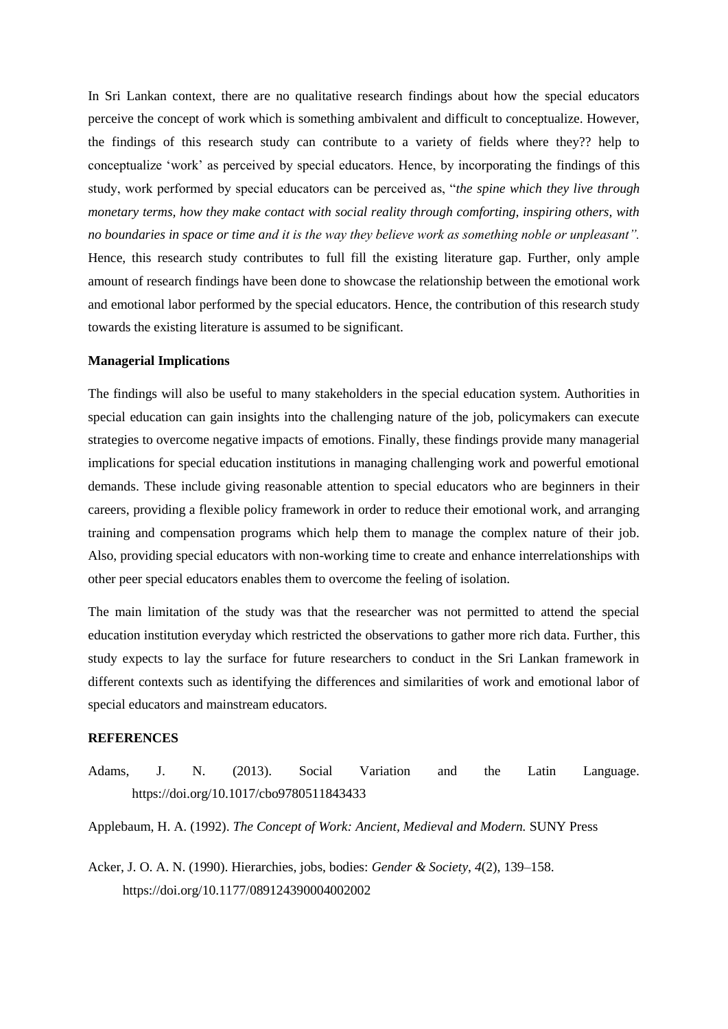In Sri Lankan context, there are no qualitative research findings about how the special educators perceive the concept of work which is something ambivalent and difficult to conceptualize. However, the findings of this research study can contribute to a variety of fields where they?? help to conceptualize 'work' as perceived by special educators. Hence, by incorporating the findings of this study, work performed by special educators can be perceived as, "*the spine which they live through monetary terms, how they make contact with social reality through comforting, inspiring others, with no boundaries in space or time and it is the way they believe work as something noble or unpleasant".* Hence, this research study contributes to full fill the existing literature gap. Further, only ample amount of research findings have been done to showcase the relationship between the emotional work and emotional labor performed by the special educators. Hence, the contribution of this research study towards the existing literature is assumed to be significant.

#### **Managerial Implications**

The findings will also be useful to many stakeholders in the special education system. Authorities in special education can gain insights into the challenging nature of the job, policymakers can execute strategies to overcome negative impacts of emotions. Finally, these findings provide many managerial implications for special education institutions in managing challenging work and powerful emotional demands. These include giving reasonable attention to special educators who are beginners in their careers, providing a flexible policy framework in order to reduce their emotional work, and arranging training and compensation programs which help them to manage the complex nature of their job. Also, providing special educators with non-working time to create and enhance interrelationships with other peer special educators enables them to overcome the feeling of isolation.

The main limitation of the study was that the researcher was not permitted to attend the special education institution everyday which restricted the observations to gather more rich data. Further, this study expects to lay the surface for future researchers to conduct in the Sri Lankan framework in different contexts such as identifying the differences and similarities of work and emotional labor of special educators and mainstream educators.

#### **REFERENCES**

Adams, J. N. (2013). Social Variation and the Latin Language. https://doi.org/10.1017/cbo9780511843433

Applebaum, H. A. (1992). *The Concept of Work: Ancient, Medieval and Modern.* SUNY Press

Acker, J. O. A. N. (1990). Hierarchies, jobs, bodies: *Gender & Society*, *4*(2), 139–158. https://doi.org/10.1177/089124390004002002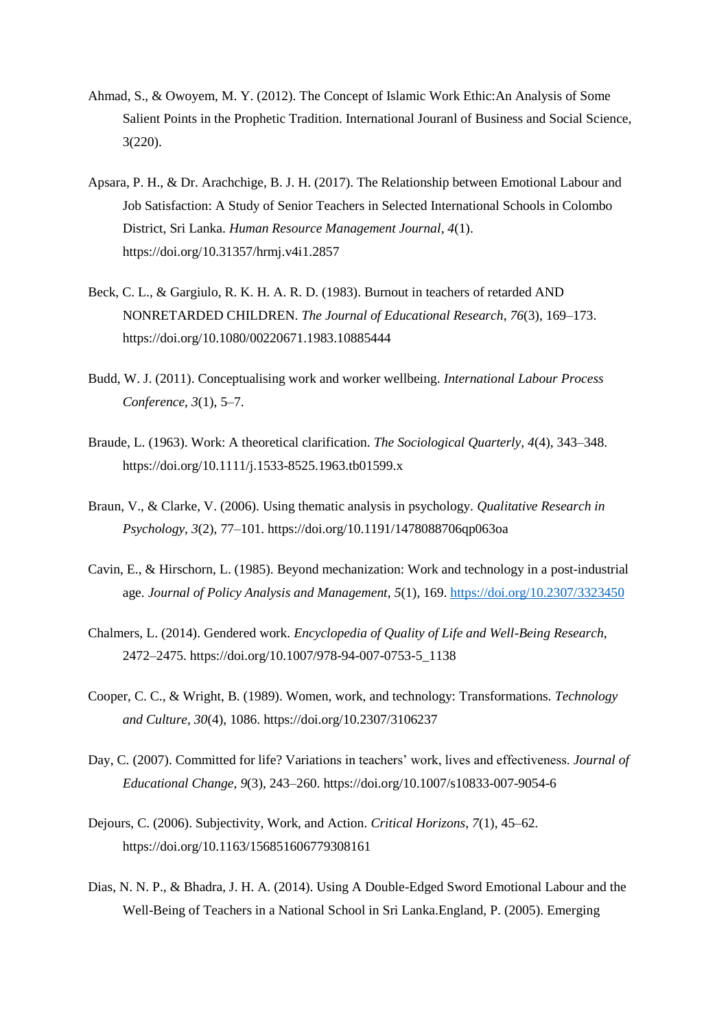- Ahmad, S., & Owoyem, M. Y. (2012). The Concept of Islamic Work Ethic:An Analysis of Some Salient Points in the Prophetic Tradition. International Jouranl of Business and Social Science, 3(220).
- Apsara, P. H., & Dr. Arachchige, B. J. H. (2017). The Relationship between Emotional Labour and Job Satisfaction: A Study of Senior Teachers in Selected International Schools in Colombo District, Sri Lanka. *Human Resource Management Journal*, *4*(1). https://doi.org/10.31357/hrmj.v4i1.2857
- Beck, C. L., & Gargiulo, R. K. H. A. R. D. (1983). Burnout in teachers of retarded AND NONRETARDED CHILDREN. *The Journal of Educational Research*, *76*(3), 169–173. https://doi.org/10.1080/00220671.1983.10885444
- Budd, W. J. (2011). Conceptualising work and worker wellbeing. *International Labour Process Conference*, *3*(1), 5–7.
- Braude, L. (1963). Work: A theoretical clarification. *The Sociological Quarterly*, *4*(4), 343–348. https://doi.org/10.1111/j.1533-8525.1963.tb01599.x
- Braun, V., & Clarke, V. (2006). Using thematic analysis in psychology. *Qualitative Research in Psychology*, *3*(2), 77–101. https://doi.org/10.1191/1478088706qp063oa
- Cavin, E., & Hirschorn, L. (1985). Beyond mechanization: Work and technology in a post-industrial age. *Journal of Policy Analysis and Management*, *5*(1), 169.<https://doi.org/10.2307/3323450>
- Chalmers, L. (2014). Gendered work. *Encyclopedia of Quality of Life and Well-Being Research*, 2472–2475. https://doi.org/10.1007/978-94-007-0753-5\_1138
- Cooper, C. C., & Wright, B. (1989). Women, work, and technology: Transformations. *Technology and Culture*, *30*(4), 1086. https://doi.org/10.2307/3106237
- Day, C. (2007). Committed for life? Variations in teachers' work, lives and effectiveness. *Journal of Educational Change*, *9*(3), 243–260. https://doi.org/10.1007/s10833-007-9054-6
- Dejours, C. (2006). Subjectivity, Work, and Action. *Critical Horizons*, *7*(1), 45–62. https://doi.org/10.1163/156851606779308161
- Dias, N. N. P., & Bhadra, J. H. A. (2014). Using A Double-Edged Sword Emotional Labour and the Well-Being of Teachers in a National School in Sri Lanka.England, P. (2005). Emerging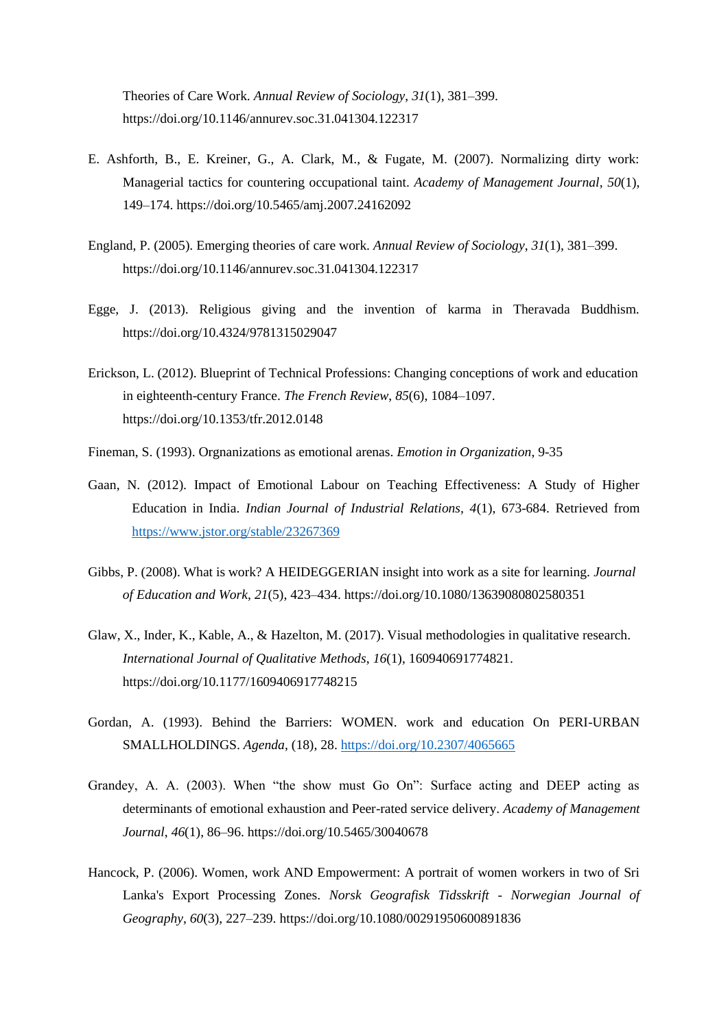Theories of Care Work. *Annual Review of Sociology*, *31*(1), 381–399. https://doi.org/10.1146/annurev.soc.31.041304.122317

- E. Ashforth, B., E. Kreiner, G., A. Clark, M., & Fugate, M. (2007). Normalizing dirty work: Managerial tactics for countering occupational taint. *Academy of Management Journal*, *50*(1), 149–174. https://doi.org/10.5465/amj.2007.24162092
- England, P. (2005). Emerging theories of care work. *Annual Review of Sociology*, *31*(1), 381–399. https://doi.org/10.1146/annurev.soc.31.041304.122317
- Egge, J. (2013). Religious giving and the invention of karma in Theravada Buddhism. https://doi.org/10.4324/9781315029047
- Erickson, L. (2012). Blueprint of Technical Professions: Changing conceptions of work and education in eighteenth-century France. *The French Review*, *85*(6), 1084–1097. https://doi.org/10.1353/tfr.2012.0148
- Fineman, S. (1993). Orgnanizations as emotional arenas. *Emotion in Organization*, 9-35
- Gaan, N. (2012). Impact of Emotional Labour on Teaching Effectiveness: A Study of Higher Education in India. *Indian Journal of Industrial Relations, 4*(1), 673-684. Retrieved from <https://www.jstor.org/stable/23267369>
- Gibbs, P. (2008). What is work? A HEIDEGGERIAN insight into work as a site for learning. *Journal of Education and Work*, *21*(5), 423–434. https://doi.org/10.1080/13639080802580351
- Glaw, X., Inder, K., Kable, A., & Hazelton, M. (2017). Visual methodologies in qualitative research. *International Journal of Qualitative Methods*, *16*(1), 160940691774821. https://doi.org/10.1177/1609406917748215
- Gordan, A. (1993). Behind the Barriers: WOMEN. work and education On PERI-URBAN SMALLHOLDINGS. *Agenda*, (18), 28.<https://doi.org/10.2307/4065665>
- Grandey, A. A. (2003). When "the show must Go On": Surface acting and DEEP acting as determinants of emotional exhaustion and Peer-rated service delivery. *Academy of Management Journal*, *46*(1), 86–96. https://doi.org/10.5465/30040678
- Hancock, P. (2006). Women, work AND Empowerment: A portrait of women workers in two of Sri Lanka's Export Processing Zones. *Norsk Geografisk Tidsskrift - Norwegian Journal of Geography*, *60*(3), 227–239. https://doi.org/10.1080/00291950600891836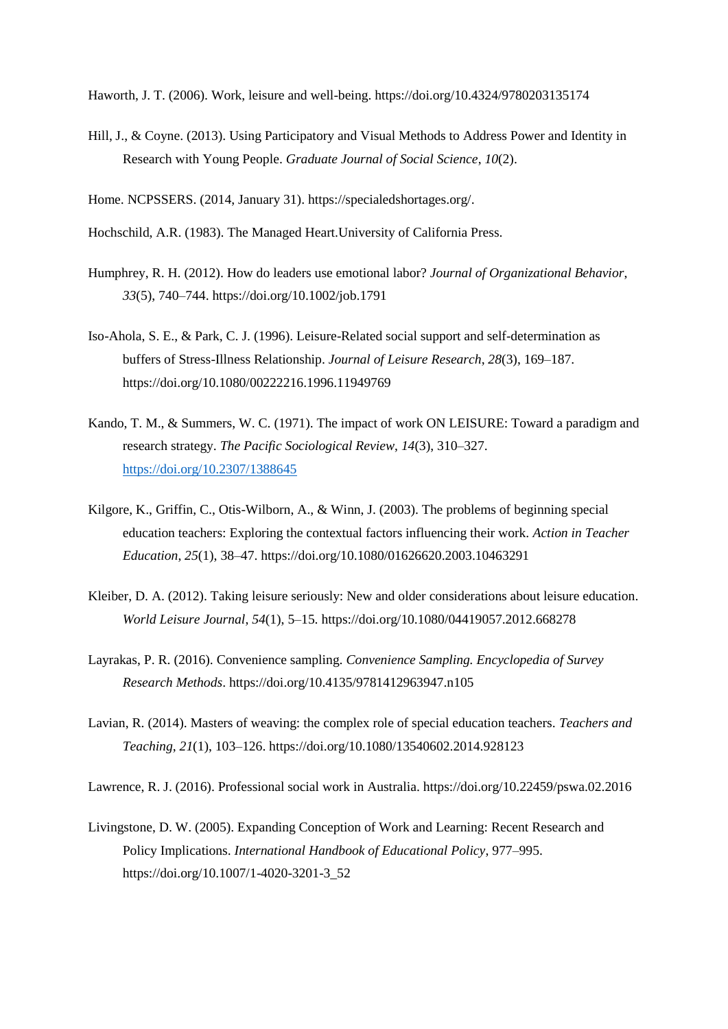Haworth, J. T. (2006). Work, leisure and well-being. https://doi.org/10.4324/9780203135174

Hill, J., & Coyne. (2013). Using Participatory and Visual Methods to Address Power and Identity in Research with Young People. *Graduate Journal of Social Science*, *10*(2).

Home. NCPSSERS. (2014, January 31). https://specialedshortages.org/.

- Hochschild, A.R. (1983). The Managed Heart.University of California Press.
- Humphrey, R. H. (2012). How do leaders use emotional labor? *Journal of Organizational Behavior*, *33*(5), 740–744. https://doi.org/10.1002/job.1791
- Iso-Ahola, S. E., & Park, C. J. (1996). Leisure-Related social support and self-determination as buffers of Stress-Illness Relationship. *Journal of Leisure Research*, *28*(3), 169–187. https://doi.org/10.1080/00222216.1996.11949769
- Kando, T. M., & Summers, W. C. (1971). The impact of work ON LEISURE: Toward a paradigm and research strategy. *The Pacific Sociological Review*, *14*(3), 310–327. <https://doi.org/10.2307/1388645>
- Kilgore, K., Griffin, C., Otis-Wilborn, A., & Winn, J. (2003). The problems of beginning special education teachers: Exploring the contextual factors influencing their work. *Action in Teacher Education*, *25*(1), 38–47. https://doi.org/10.1080/01626620.2003.10463291
- Kleiber, D. A. (2012). Taking leisure seriously: New and older considerations about leisure education. *World Leisure Journal*, *54*(1), 5–15. https://doi.org/10.1080/04419057.2012.668278
- Layrakas, P. R. (2016). Convenience sampling. *Convenience Sampling. Encyclopedia of Survey Research Methods*. https://doi.org/10.4135/9781412963947.n105
- Lavian, R. (2014). Masters of weaving: the complex role of special education teachers. *Teachers and Teaching*, *21*(1), 103–126. https://doi.org/10.1080/13540602.2014.928123

Lawrence, R. J. (2016). Professional social work in Australia. https://doi.org/10.22459/pswa.02.2016

Livingstone, D. W. (2005). Expanding Conception of Work and Learning: Recent Research and Policy Implications. *International Handbook of Educational Policy*, 977–995. https://doi.org/10.1007/1-4020-3201-3\_52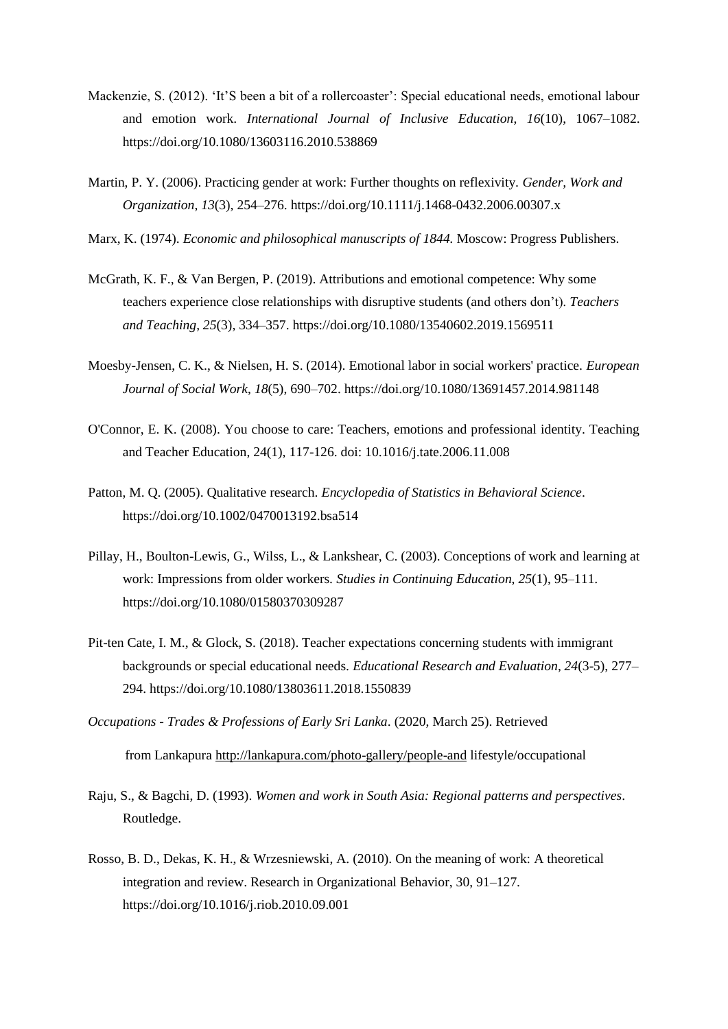- Mackenzie, S. (2012). 'It'S been a bit of a rollercoaster': Special educational needs, emotional labour and emotion work. *International Journal of Inclusive Education*, *16*(10), 1067–1082. https://doi.org/10.1080/13603116.2010.538869
- Martin, P. Y. (2006). Practicing gender at work: Further thoughts on reflexivity. *Gender, Work and Organization*, *13*(3), 254–276. https://doi.org/10.1111/j.1468-0432.2006.00307.x
- Marx, K. (1974). *Economic and philosophical manuscripts of 1844.* Moscow: Progress Publishers.
- McGrath, K. F., & Van Bergen, P. (2019). Attributions and emotional competence: Why some teachers experience close relationships with disruptive students (and others don't). *Teachers and Teaching*, *25*(3), 334–357. https://doi.org/10.1080/13540602.2019.1569511
- Moesby-Jensen, C. K., & Nielsen, H. S. (2014). Emotional labor in social workers' practice. *European Journal of Social Work*, *18*(5), 690–702. https://doi.org/10.1080/13691457.2014.981148
- O'Connor, E. K. (2008). You choose to care: Teachers, emotions and professional identity. Teaching and Teacher Education, 24(1), 117-126. doi: 10.1016/j.tate.2006.11.008
- Patton, M. Q. (2005). Qualitative research. *Encyclopedia of Statistics in Behavioral Science*. https://doi.org/10.1002/0470013192.bsa514
- Pillay, H., Boulton-Lewis, G., Wilss, L., & Lankshear, C. (2003). Conceptions of work and learning at work: Impressions from older workers. *Studies in Continuing Education*, *25*(1), 95–111. https://doi.org/10.1080/01580370309287
- Pit-ten Cate, I. M., & Glock, S. (2018). Teacher expectations concerning students with immigrant backgrounds or special educational needs. *Educational Research and Evaluation*, *24*(3-5), 277– 294. https://doi.org/10.1080/13803611.2018.1550839
- *Occupations - Trades & Professions of Early Sri Lanka*. (2020, March 25). Retrieved from Lankapura<http://lankapura.com/photo-gallery/people-and> lifestyle/occupational
- Raju, S., & Bagchi, D. (1993). *Women and work in South Asia: Regional patterns and perspectives*. Routledge.
- Rosso, B. D., Dekas, K. H., & Wrzesniewski, A. (2010). On the meaning of work: A theoretical integration and review. Research in Organizational Behavior, 30, 91–127. https://doi.org/10.1016/j.riob.2010.09.001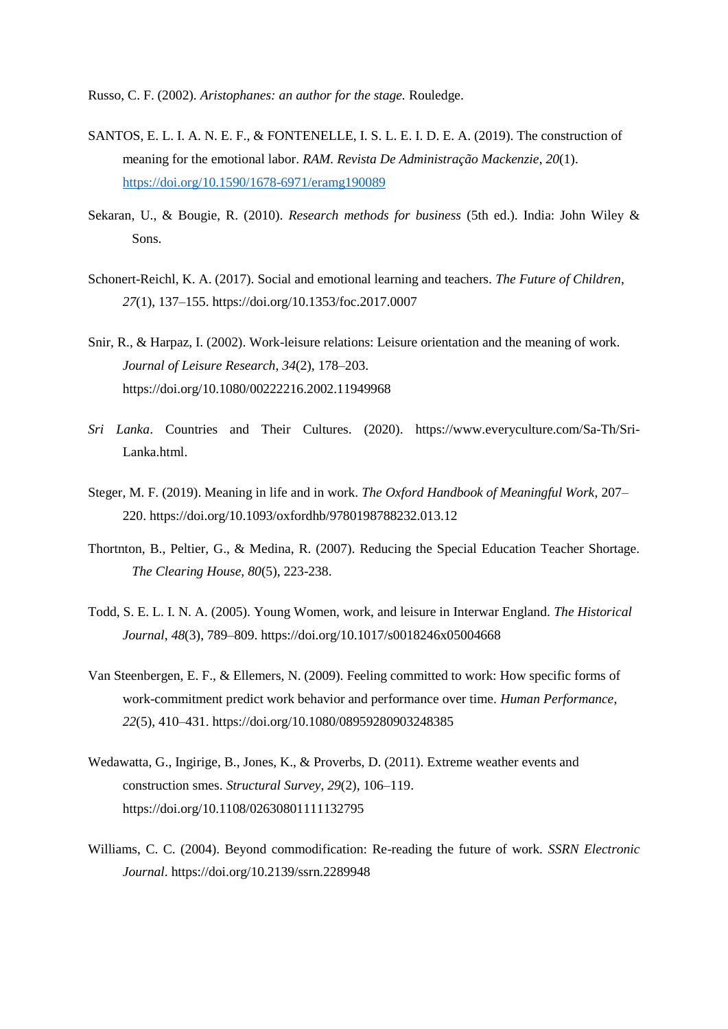Russo, C. F. (2002). *Aristophanes: an author for the stage.* Rouledge.

- SANTOS, E. L. I. A. N. E. F., & FONTENELLE, I. S. L. E. I. D. E. A. (2019). The construction of meaning for the emotional labor. *RAM. Revista De Administração Mackenzie*, *20*(1). <https://doi.org/10.1590/1678-6971/eramg190089>
- Sekaran, U., & Bougie, R. (2010). *Research methods for business* (5th ed.). India: John Wiley & Sons.
- Schonert-Reichl, K. A. (2017). Social and emotional learning and teachers. *The Future of Children*, *27*(1), 137–155. https://doi.org/10.1353/foc.2017.0007
- Snir, R., & Harpaz, I. (2002). Work-leisure relations: Leisure orientation and the meaning of work. *Journal of Leisure Research*, *34*(2), 178–203. https://doi.org/10.1080/00222216.2002.11949968
- *Sri Lanka*. Countries and Their Cultures. (2020). https://www.everyculture.com/Sa-Th/Sri-Lanka.html.
- Steger, M. F. (2019). Meaning in life and in work. *The Oxford Handbook of Meaningful Work*, 207– 220. https://doi.org/10.1093/oxfordhb/9780198788232.013.12
- Thortnton, B., Peltier, G., & Medina, R. (2007). Reducing the Special Education Teacher Shortage. *The Clearing House, 80*(5), 223-238.
- Todd, S. E. L. I. N. A. (2005). Young Women, work, and leisure in Interwar England. *The Historical Journal*, *48*(3), 789–809. https://doi.org/10.1017/s0018246x05004668
- Van Steenbergen, E. F., & Ellemers, N. (2009). Feeling committed to work: How specific forms of work-commitment predict work behavior and performance over time. *Human Performance*, *22*(5), 410–431. https://doi.org/10.1080/08959280903248385
- Wedawatta, G., Ingirige, B., Jones, K., & Proverbs, D. (2011). Extreme weather events and construction smes. *Structural Survey*, *29*(2), 106–119. https://doi.org/10.1108/02630801111132795
- Williams, C. C. (2004). Beyond commodification: Re-reading the future of work. *SSRN Electronic Journal*. https://doi.org/10.2139/ssrn.2289948